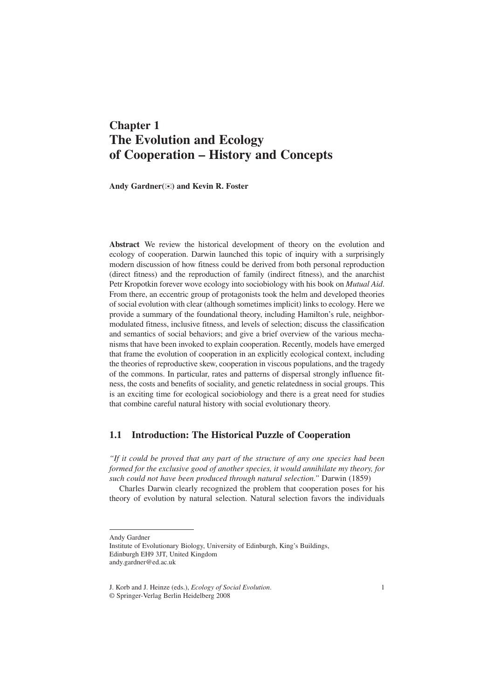# **Chapter 1 The Evolution and Ecology of Cooperation – History and Concepts**

Andy Gardner( $\boxtimes$ ) and Kevin R. Foster

**Abstract** We review the historical development of theory on the evolution and ecology of cooperation. Darwin launched this topic of inquiry with a surprisingly modern discussion of how fitness could be derived from both personal reproduction (direct fitness) and the reproduction of family (indirect fitness), and the anarchist Petr Kropotkin forever wove ecology into sociobiology with his book on *Mutual Aid*. From there, an eccentric group of protagonists took the helm and developed theories of social evolution with clear (although sometimes implicit) links to ecology. Here we provide a summary of the foundational theory, including Hamilton's rule, neighbormodulated fitness, inclusive fitness, and levels of selection; discuss the classification and semantics of social behaviors; and give a brief overview of the various mechanisms that have been invoked to explain cooperation. Recently, models have emerged that frame the evolution of cooperation in an explicitly ecological context, including the theories of reproductive skew, cooperation in viscous populations, and the tragedy of the commons. In particular, rates and patterns of dispersal strongly influence fitness, the costs and benefits of sociality, and genetic relatedness in social groups. This is an exciting time for ecological sociobiology and there is a great need for studies that combine careful natural history with social evolutionary theory.

## **1.1 Introduction: The Historical Puzzle of Cooperation**

*"If it could be proved that any part of the structure of any one species had been formed for the exclusive good of another species, it would annihilate my theory, for such could not have been produced through natural selection."* Darwin (1859)

Charles Darwin clearly recognized the problem that cooperation poses for his theory of evolution by natural selection. Natural selection favors the individuals

Andy Gardner

Institute of Evolutionary Biology, University of Edinburgh, King's Buildings, Edinburgh EH9 3JT, United Kingdom andy.gardner@ed.ac.uk

J. Korb and J. Heinze (eds.), *Ecology of Social Evolution*. 1

<sup>©</sup> Springer-Verlag Berlin Heidelberg 2008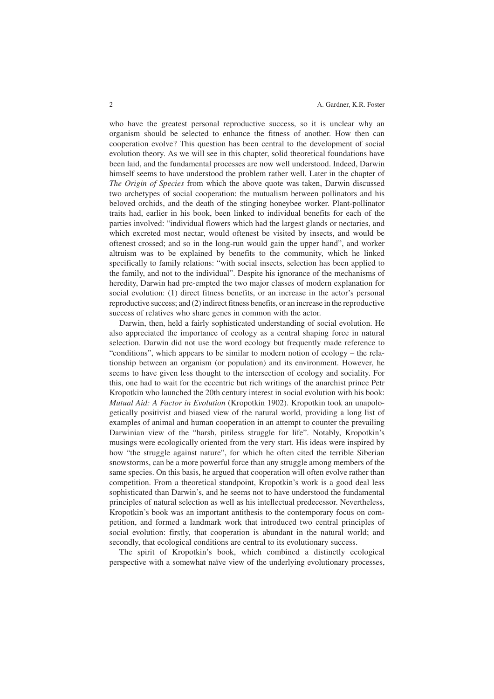who have the greatest personal reproductive success, so it is unclear why an organism should be selected to enhance the fitness of another. How then can cooperation evolve? This question has been central to the development of social evolution theory. As we will see in this chapter, solid theoretical foundations have been laid, and the fundamental processes are now well understood. Indeed, Darwin himself seems to have understood the problem rather well. Later in the chapter of *The Origin of Species* from which the above quote was taken, Darwin discussed two archetypes of social cooperation: the mutualism between pollinators and his beloved orchids, and the death of the stinging honeybee worker. Plant-pollinator traits had, earlier in his book, been linked to individual benefits for each of the parties involved: "individual flowers which had the largest glands or nectaries, and which excreted most nectar, would oftenest be visited by insects, and would be oftenest crossed; and so in the long-run would gain the upper hand", and worker altruism was to be explained by benefits to the community, which he linked specifically to family relations: "with social insects, selection has been applied to the family, and not to the individual". Despite his ignorance of the mechanisms of heredity, Darwin had pre-empted the two major classes of modern explanation for social evolution: (1) direct fitness benefits, or an increase in the actor's personal reproductive success; and (2) indirect fitness benefits, or an increase in the reproductive success of relatives who share genes in common with the actor.

Darwin, then, held a fairly sophisticated understanding of social evolution. He also appreciated the importance of ecology as a central shaping force in natural selection. Darwin did not use the word ecology but frequently made reference to "conditions", which appears to be similar to modern notion of ecology – the relationship between an organism (or population) and its environment. However, he seems to have given less thought to the intersection of ecology and sociality. For this, one had to wait for the eccentric but rich writings of the anarchist prince Petr Kropotkin who launched the 20th century interest in social evolution with his book: *Mutual Aid : A Factor in Evolution* (Kropotkin 1902). Kropotkin took an unapologetically positivist and biased view of the natural world, providing a long list of examples of animal and human cooperation in an attempt to counter the prevailing Darwinian view of the "harsh, pitiless struggle for life". Notably, Kropotkin's musings were ecologically oriented from the very start. His ideas were inspired by how "the struggle against nature", for which he often cited the terrible Siberian snowstorms, can be a more powerful force than any struggle among members of the same species. On this basis, he argued that cooperation will often evolve rather than competition. From a theoretical standpoint, Kropotkin's work is a good deal less sophisticated than Darwin's, and he seems not to have understood the fundamental principles of natural selection as well as his intellectual predecessor. Nevertheless, Kropotkin's book was an important antithesis to the contemporary focus on competition, and formed a landmark work that introduced two central principles of social evolution: firstly, that cooperation is abundant in the natural world; and secondly, that ecological conditions are central to its evolutionary success.

The spirit of Kropotkin's book, which combined a distinctly ecological perspective with a somewhat naïve view of the underlying evolutionary processes,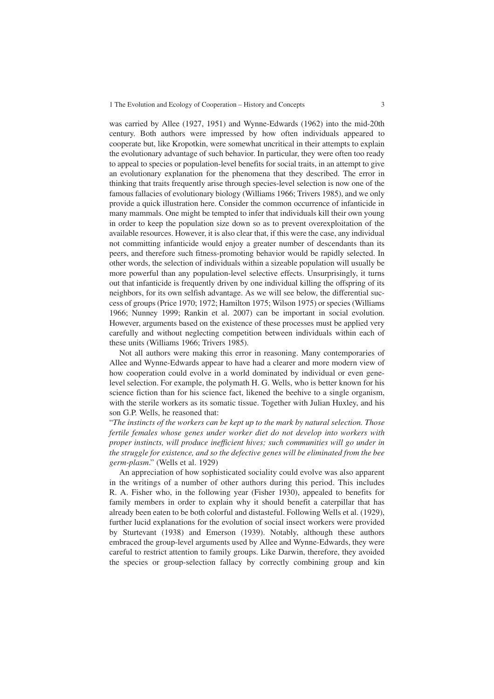was carried by Allee (1927, 1951) and Wynne-Edwards (1962) into the mid-20th century. Both authors were impressed by how often individuals appeared to cooperate but, like Kropotkin, were somewhat uncritical in their attempts to explain the evolutionary advantage of such behavior. In particular, they were often too ready to appeal to species or population-level benefits for social traits, in an attempt to give an evolutionary explanation for the phenomena that they described. The error in thinking that traits frequently arise through species-level selection is now one of the famous fallacies of evolutionary biology (Williams 1966; Trivers 1985), and we only provide a quick illustration here. Consider the common occurrence of infanticide in many mammals. One might be tempted to infer that individuals kill their own young in order to keep the population size down so as to prevent overexploitation of the available resources. However, it is also clear that, if this were the case, any individual not committing infanticide would enjoy a greater number of descendants than its peers, and therefore such fitness-promoting behavior would be rapidly selected. In other words, the selection of individuals within a sizeable population will usually be more powerful than any population-level selective effects. Unsurprisingly, it turns out that infanticide is frequently driven by one individual killing the offspring of its neighbors, for its own selfish advantage. As we will see below, the differential success of groups (Price 1970; 1972; Hamilton 1975; Wilson 1975) or species (Williams 1966; Nunney 1999; Rankin et al. 2007) can be important in social evolution. However, arguments based on the existence of these processes must be applied very carefully and without neglecting competition between individuals within each of these units (Williams 1966; Trivers 1985).

Not all authors were making this error in reasoning. Many contemporaries of Allee and Wynne-Edwards appear to have had a clearer and more modern view of how cooperation could evolve in a world dominated by individual or even genelevel selection. For example, the polymath H. G. Wells, who is better known for his science fiction than for his science fact, likened the beehive to a single organism, with the sterile workers as its somatic tissue. Together with Julian Huxley, and his son G.P. Wells, he reasoned that:

"*The instincts of the workers can be kept up to the mark by natural selection. Those fertile females whose genes under worker diet do not develop into workers with proper instincts, will produce inefficient hives; such communities will go under in the struggle for existence, and so the defective genes will be eliminated from the bee germ-plasm*." (Wells et al. 1929)

An appreciation of how sophisticated sociality could evolve was also apparent in the writings of a number of other authors during this period. This includes R. A. Fisher who, in the following year (Fisher 1930), appealed to benefits for family members in order to explain why it should benefit a caterpillar that has already been eaten to be both colorful and distasteful. Following Wells et al. (1929), further lucid explanations for the evolution of social insect workers were provided by Sturtevant (1938) and Emerson (1939). Notably, although these authors embraced the group-level arguments used by Allee and Wynne-Edwards, they were careful to restrict attention to family groups. Like Darwin, therefore, they avoided the species or group-selection fallacy by correctly combining group and kin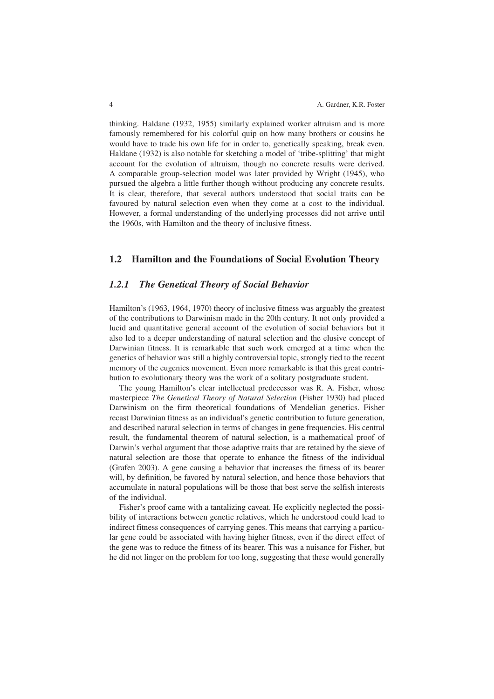thinking. Haldane (1932, 1955) similarly explained worker altruism and is more famously remembered for his colorful quip on how many brothers or cousins he would have to trade his own life for in order to, genetically speaking, break even. Haldane (1932) is also notable for sketching a model of 'tribe-splitting' that might account for the evolution of altruism, though no concrete results were derived. A comparable group-selection model was later provided by Wright (1945), who pursued the algebra a little further though without producing any concrete results. It is clear, therefore, that several authors understood that social traits can be favoured by natural selection even when they come at a cost to the individual. However, a formal understanding of the underlying processes did not arrive until the 1960s, with Hamilton and the theory of inclusive fitness.

# **1.2 Hamilton and the Foundations of Social Evolution Theory**

#### *1.2.1 The Genetical Theory of Social Behavior*

Hamilton 's (1963, 1964, 1970) theory of inclusive fitness was arguably the greatest of the contributions to Darwinism made in the 20th century. It not only provided a lucid and quantitative general account of the evolution of social behaviors but it also led to a deeper understanding of natural selection and the elusive concept of Darwinian fitness. It is remarkable that such work emerged at a time when the genetics of behavior was still a highly controversial topic, strongly tied to the recent memory of the eugenics movement. Even more remarkable is that this great contribution to evolutionary theory was the work of a solitary postgraduate student.

The young Hamilton's clear intellectual predecessor was R. A. Fisher, whose masterpiece *The Genetical Theory of Natural Selection* (Fisher 1930) had placed Darwinism on the firm theoretical foundations of Mendelian genetics. Fisher recast Darwinian fitness as an individual's genetic contribution to future generation, and described natural selection in terms of changes in gene frequencies. His central result, the fundamental theorem of natural selection , is a mathematical proof of Darwin's verbal argument that those adaptive traits that are retained by the sieve of natural selection are those that operate to enhance the fitness of the individual (Grafen 2003). A gene causing a behavior that increases the fitness of its bearer will, by definition, be favored by natural selection, and hence those behaviors that accumulate in natural populations will be those that best serve the selfish interests of the individual.

Fisher 's proof came with a tantalizing caveat. He explicitly neglected the possibility of interactions between genetic relatives, which he understood could lead to indirect fitness consequences of carrying genes. This means that carrying a particular gene could be associated with having higher fitness, even if the direct effect of the gene was to reduce the fitness of its bearer. This was a nuisance for Fisher, but he did not linger on the problem for too long, suggesting that these would generally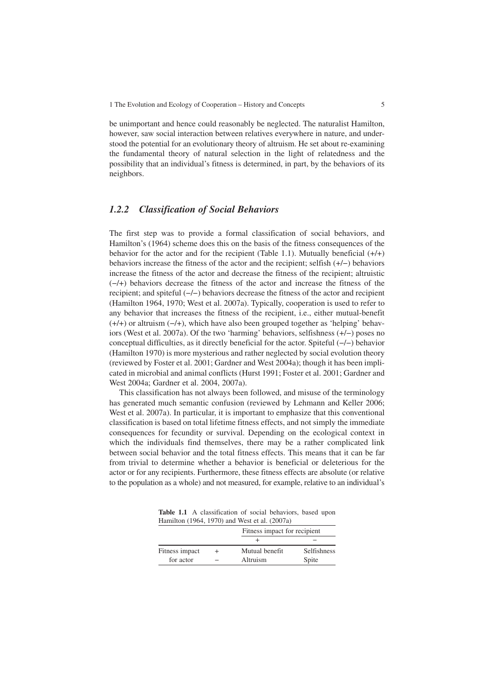be unimportant and hence could reasonably be neglected. The naturalist Hamilton, however, saw social interaction between relatives everywhere in nature, and understood the potential for an evolutionary theory of altruism. He set about re-examining the fundamental theory of natural selection in the light of relatedness and the possibility that an individual's fitness is determined, in part, by the behaviors of its neighbors.

#### *1.2.2 Classification of Social Behaviors*

The first step was to provide a formal classification of social behaviors, and Hamilton's (1964) scheme does this on the basis of the fitness consequences of the behavior for the actor and for the recipient (Table 1.1). Mutually beneficial  $(+/+)$ behaviors increase the fitness of the actor and the recipient; selfish (+/−) behaviors increase the fitness of the actor and decrease the fitness of the recipient; altruistic (−/+) behaviors decrease the fitness of the actor and increase the fitness of the recipient; and spiteful (−/−) behaviors decrease the fitness of the actor and recipient (Hamilton 1964, 1970; West et al. 2007a). Typically, cooperation is used to refer to any behavior that increases the fitness of the recipient, i.e., either mutual-benefit (+/+) or altruism (−/+), which have also been grouped together as 'helping' behaviors (West et al. 2007a). Of the two 'harming' behaviors, selfishness (+/−) poses no conceptual difficulties, as it directly beneficial for the actor. Spiteful (−/−) behavior (Hamilton 1970) is more mysterious and rather neglected by social evolution theory (reviewed by Foster et al. 2001; Gardner and West 2004a); though it has been implicated in microbial and animal conflicts (Hurst 1991; Foster et al. 2001; Gardner and West 2004a; Gardner et al. 2004, 2007a).

This classification has not always been followed, and misuse of the terminology has generated much semantic confusion (reviewed by Lehmann and Keller 2006; West et al. 2007a). In particular, it is important to emphasize that this conventional classification is based on total lifetime fitness effects, and not simply the immediate consequences for fecundity or survival. Depending on the ecological context in which the individuals find themselves, there may be a rather complicated link between social behavior and the total fitness effects. This means that it can be far from trivial to determine whether a behavior is beneficial or deleterious for the actor or for any recipients. Furthermore, these fitness effects are absolute (or relative to the population as a whole) and not measured, for example, relative to an individual's

Table 1.1 A classification of social behaviors, based upon Hamilton (1964, 1970) and West et al. (2007a)

|                |  | Fitness impact for recipient |             |
|----------------|--|------------------------------|-------------|
|                |  |                              |             |
|                |  |                              |             |
| Fitness impact |  | Mutual benefit               | Selfishness |
| for actor      |  | Altruism                     | Spite       |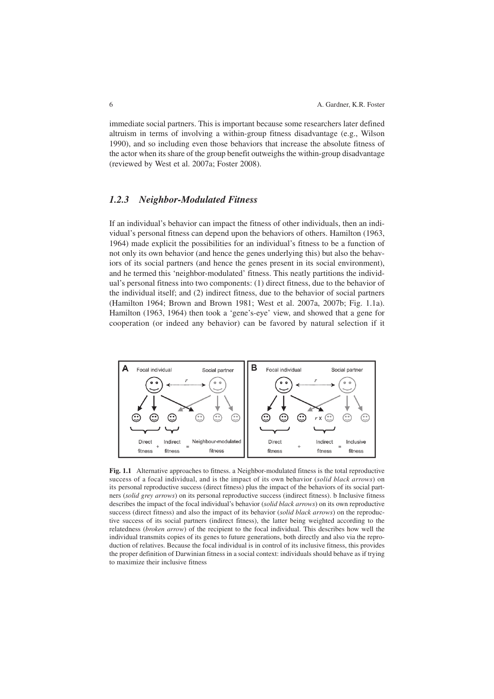immediate social partners. This is important because some researchers later defined altruism in terms of involving a within-group fitness disadvantage (e.g., Wilson 1990), and so including even those behaviors that increase the absolute fitness of the actor when its share of the group benefit outweighs the within-group disadvantage (reviewed by West et al. 2007a; Foster 2008).

#### *1.2.3 Neighbor-Modulated Fitness*

If an individual's behavior can impact the fitness of other individuals, then an individual's personal fitness can depend upon the behaviors of others. Hamilton (1963, 1964) made explicit the possibilities for an individual's fitness to be a function of not only its own behavior (and hence the genes underlying this) but also the behaviors of its social partners (and hence the genes present in its social environment), and he termed this 'neighbor-modulated' fitness . This neatly partitions the individual's personal fitness into two components: (1) direct fitness , due to the behavior of the individual itself; and (2) indirect fitness , due to the behavior of social partners (Hamilton 1964; Brown and Brown 1981; West et al. 2007a, 2007b; Fig. 1.1a). Hamilton (1963, 1964) then took a 'gene's-eye' view, and showed that a gene for cooperation (or indeed any behavior) can be favored by natural selection if it



**Fig. 1.1** Alternative approaches to fitness. a Neighbor-modulated fitness is the total reproductive success of a focal individual, and is the impact of its own behavior (*solid black arrows*) on its personal reproductive success (direct fitness) plus the impact of the behaviors of its social partners (*solid grey arrows*) on its personal reproductive success (indirect fitness). b Inclusive fitness describes the impact of the focal individual's behavior (*solid black arrows*) on its own reproductive success (direct fitness) and also the impact of its behavior (*solid black arrows*) on the reproductive success of its social partners (indirect fitness), the latter being weighted according to the relatedness (*broken arrow*) of the recipient to the focal individual. This describes how well the individual transmits copies of its genes to future generations, both directly and also via the reproduction of relatives. Because the focal individual is in control of its inclusive fitness, this provides the proper definition of Darwinian fitness in a social context: individuals should behave as if trying to maximize their inclusive fitness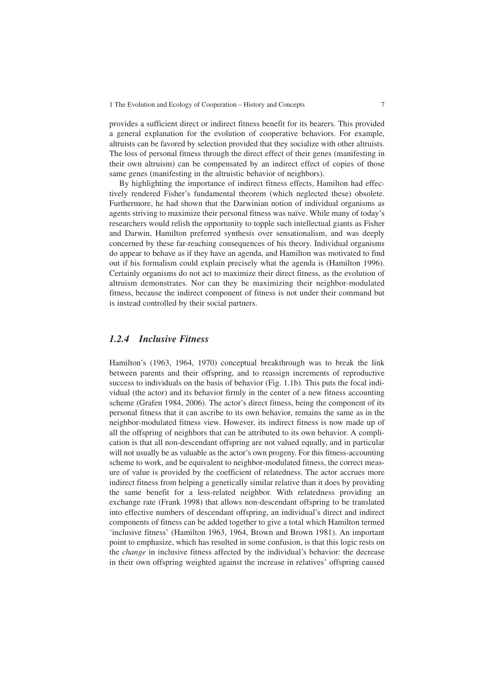provides a sufficient direct or indirect fitness benefit for its bearers. This provided a general explanation for the evolution of cooperative behaviors. For example, altruists can be favored by selection provided that they socialize with other altruists. The loss of personal fitness through the direct effect of their genes (manifesting in their own altruism) can be compensated by an indirect effect of copies of those same genes (manifesting in the altruistic behavior of neighbors).

By highlighting the importance of indirect fitness effects, Hamilton had effectively rendered Fisher 's fundamental theorem (which neglected these) obsolete. Furthermore, he had shown that the Darwinian notion of individual organisms as agents striving to maximize their personal fitness was naïve. While many of today's researchers would relish the opportunity to topple such intellectual giants as Fisher and Darwin, Hamilton preferred synthesis over sensationalism, and was deeply concerned by these far-reaching consequences of his theory. Individual organisms do appear to behave as if they have an agenda, and Hamilton was motivated to find out if his formalism could explain precisely what the agenda is (Hamilton 1996). Certainly organisms do not act to maximize their direct fitness , as the evolution of altruism demonstrates. Nor can they be maximizing their neighbor-modulated fitness , because the indirect component of fitness is not under their command but is instead controlled by their social partners.

#### *1.2.4 Inclusive Fitness*

 Hamilton's (1963, 1964, 1970) conceptual breakthrough was to break the link between parents and their offspring, and to reassign increments of reproductive success to individuals on the basis of behavior (Fig. 1.1b). This puts the focal individual (the actor) and its behavior firmly in the center of a new fitness accounting scheme (Grafen 1984, 2006). The actor's direct fitness, being the component of its personal fitness that it can ascribe to its own behavior, remains the same as in the neighbor-modulated fitness view. However, its indirect fitness is now made up of all the offspring of neighbors that can be attributed to its own behavior. A complication is that all non-descendant offspring are not valued equally, and in particular will not usually be as valuable as the actor's own progeny. For this fitness-accounting scheme to work, and be equivalent to neighbor-modulated fitness, the correct measure of value is provided by the coefficient of relatedness . The actor accrues more indirect fitness from helping a genetically similar relative than it does by providing the same benefit for a less-related neighbor. With relatedness providing an exchange rate (Frank 1998) that allows non-descendant offspring to be translated into effective numbers of descendant offspring, an individual's direct and indirect components of fitness can be added together to give a total which Hamilton termed 'inclusive fitness' (Hamilton 1963, 1964, Brown and Brown 1981). An important point to emphasize, which has resulted in some confusion, is that this logic rests on the *change* in inclusive fitness affected by the individual's behavior: the decrease in their own offspring weighted against the increase in relatives' offspring caused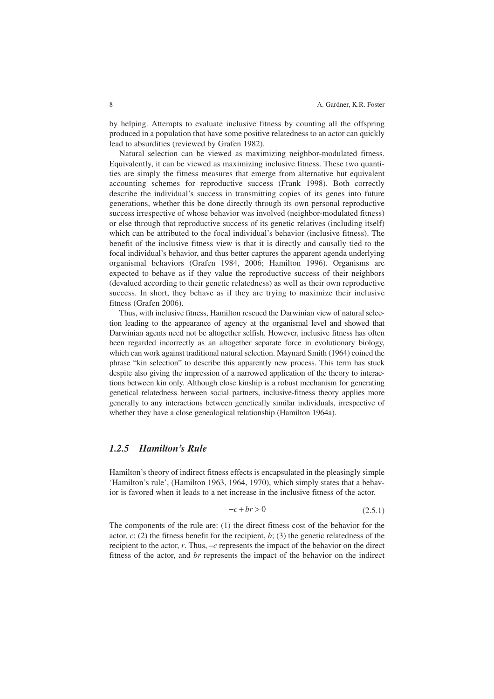by helping. Attempts to evaluate inclusive fitness by counting all the offspring produced in a population that have some positive relatedness to an actor can quickly lead to absurdities (reviewed by Grafen 1982).

Natural selection can be viewed as maximizing neighbor-modulated fitness. Equivalently, it can be viewed as maximizing inclusive fitness. These two quantities are simply the fitness measures that emerge from alternative but equivalent accounting schemes for reproductive success (Frank 1998). Both correctly describe the individual's success in transmitting copies of its genes into future generations, whether this be done directly through its own personal reproductive success irrespective of whose behavior was involved (neighbor-modulated fitness) or else through that reproductive success of its genetic relatives (including itself) which can be attributed to the focal individual's behavior (inclusive fitness). The benefit of the inclusive fitness view is that it is directly and causally tied to the focal individual's behavior, and thus better captures the apparent agenda underlying organismal behaviors (Grafen 1984, 2006; Hamilton 1996). Organisms are expected to behave as if they value the reproductive success of their neighbors (devalued according to their genetic relatedness) as well as their own reproductive success. In short, they behave as if they are trying to maximize their inclusive fitness (Grafen 2006).

Thus, with inclusive fitness, Hamilton rescued the Darwinian view of natural selection leading to the appearance of agency at the organismal level and showed that Darwinian agents need not be altogether selfish. However, inclusive fitness has often been regarded incorrectly as an altogether separate force in evolutionary biology, which can work against traditional natural selection. Maynard Smith (1964) coined the phrase "kin selection" to describe this apparently new process. This term has stuck despite also giving the impression of a narrowed application of the theory to interactions between kin only. Although close kinship is a robust mechanism for generating genetical relatedness between social partners, inclusive-fitness theory applies more generally to any interactions between genetically similar individuals, irrespective of whether they have a close genealogical relationship (Hamilton 1964a).

# *1.2.5 Hamilton's Rule*

 Hamilton 's theory of indirect fitness effects is encapsulated in the pleasingly simple 'Hamilton's rule', (Hamilton 1963, 1964, 1970), which simply states that a behavior is favored when it leads to a net increase in the inclusive fitness of the actor.

$$
-c + br > 0\tag{2.5.1}
$$

The components of the rule are: (1) the direct fitness cost of the behavior for the actor,  $c$ : (2) the fitness benefit for the recipient,  $b$ ; (3) the genetic relatedness of the recipient to the actor, *r*. Thus, –*c* represents the impact of the behavior on the direct fitness of the actor, and *br* represents the impact of the behavior on the indirect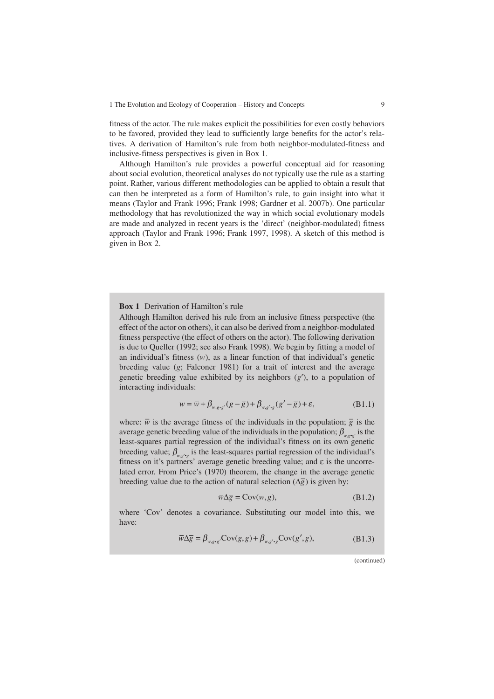fitness of the actor. The rule makes explicit the possibilities for even costly behaviors to be favored, provided they lead to sufficiently large benefits for the actor's relatives. A derivation of Hamilton's rule from both neighbor-modulated-fitness and inclusive-fitness perspectives is given in Box 1.

Although Hamilton's rule provides a powerful conceptual aid for reasoning about social evolution, theoretical analyses do not typically use the rule as a starting point. Rather, various different methodologies can be applied to obtain a result that can then be interpreted as a form of Hamilton's rule, to gain insight into what it means (Taylor and Frank 1996; Frank 1998; Gardner et al. 2007b). One particular methodology that has revolutionized the way in which social evolutionary models are made and analyzed in recent years is the 'direct' (neighbor-modulated) fitness approach (Taylor and Frank 1996; Frank 1997, 1998). A sketch of this method is given in Box 2.

#### **Box 1** Derivation of Hamilton's rule

Although Hamilton derived his rule from an inclusive fitness perspective (the effect of the actor on others), it can also be derived from a neighbor- modulated fitness perspective (the effect of others on the actor). The following derivation is due to Queller (1992; see also Frank 1998). We begin by fitting a model of an individual's fitness (*w*), as a linear function of that individual's genetic breeding value (*g*; Falconer 1981) for a trait of interest and the average genetic breeding value exhibited by its neighbors  $(g')$ , to a population of interacting individuals:

$$
w = \overline{w} + \beta_{w, g, g'}(g - \overline{g}) + \beta_{w, g', g}(g' - \overline{g}) + \varepsilon,
$$
 (B1.1)

where:  $\overline{w}$  is the average fitness of the individuals in the population;  $\overline{g}$  is the average genetic breeding value of the individuals in the population;  $\beta_{w,gsg'}$  is the least-squares partial regression of the individual's fitness on its own genetic breeding value;  $\beta_{w,e',g}$  is the least-squares partial regression of the individual's fitness on it's partners' average genetic breeding value; and  $\varepsilon$  is the uncorrelated error. From Price's (1970) theorem, the change in the average genetic breeding value due to the action of natural selection ( $\Delta \bar{g}$ ) is given by:

$$
\overline{w}\Delta\overline{g} = \text{Cov}(w, g),\tag{B1.2}
$$

where 'Cov' denotes a covariance. Substituting our model into this, we have:

$$
\overline{w}\Delta\overline{g} = \beta_{w,g \star g'} \text{Cov}(g,g) + \beta_{w,g' \star g} \text{Cov}(g',g),\tag{B1.3}
$$

(continued)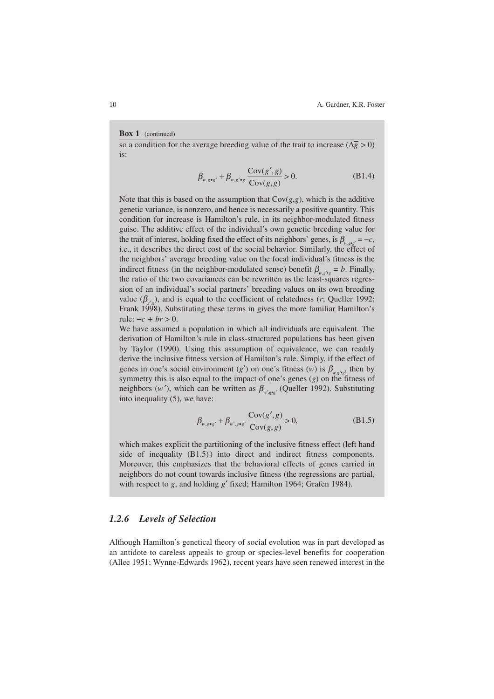#### **Box 1** (continued)

so a condition for the average breeding value of the trait to increase ( $\Delta \bar{g} > 0$ ) is:

$$
\beta_{w, g \bullet g'} + \beta_{w, g' \bullet g} \frac{\text{Cov}(g', g)}{\text{Cov}(g, g)} > 0. \tag{B1.4}
$$

Note that this is based on the assumption that  $Cov(g,g)$ , which is the additive genetic variance, is nonzero, and hence is necessarily a positive quantity. This condition for increase is Hamilton's rule, in its neighbor-modulated fitness guise. The additive effect of the individual's own genetic breeding value for the trait of interest, holding fixed the effect of its neighbors' genes, is  $\beta_{w,gsg'} = -c$ , i.e., it describes the direct cost of the social behavior. Similarly, the effect of the neighbors' average breeding value on the focal individual's fitness is the indirect fitness (in the neighbor-modulated sense) benefit  $\beta_{w}$ <sub>*iv*</sub><sup>*•*</sup><sub>*iv*</sub></sub> = *b*. Finally, the ratio of the two covariances can be rewritten as the least-squares regression of an individual's social partners' breeding values on its own breeding value  $(\beta_{g',g})$ , and is equal to the coefficient of relatedness (*r*; Queller 1992; Frank 1998). Substituting these terms in gives the more familiar Hamilton's rule:  $-c + br > 0$ .

We have assumed a population in which all individuals are equivalent. The derivation of Hamilton's rule in class-structured populations has been given by Taylor (1990). Using this assumption of equivalence, we can readily derive the inclusive fitness version of Hamilton's rule. Simply, if the effect of genes in one's social environment (*g'*) on one's fitness (*w*) is  $\beta_{w,e'e'}$ , then by symmetry this is also equal to the impact of one's genes (*g*) on the fitness of neighbors (*w*<sup> $\prime$ </sup>), which can be written as  $\beta_{w', g \cdot g'}$  (Queller 1992). Substituting into inequality (5), we have:

$$
\beta_{w, g \bullet g'} + \beta_{w', g \bullet g'} \frac{\text{Cov}(g', g)}{\text{Cov}(g, g)} > 0,
$$
\n(B1.5)

which makes explicit the partitioning of the inclusive fitness effect (left hand side of inequality (B1.5) ) into direct and indirect fitness components. Moreover, this emphasizes that the behavioral effects of genes carried in neighbors do not count towards inclusive fitness (the regressions are partial, with respect to *g*, and holding *g*′ fixed; Hamilton 1964; Grafen 1984).

## *1.2.6 Levels of Selection*

Although Hamilton 's genetical theory of social evolution was in part developed as an antidote to careless appeals to group or species-level benefits for cooperation (Allee 1951; Wynne-Edwards 1962), recent years have seen renewed interest in the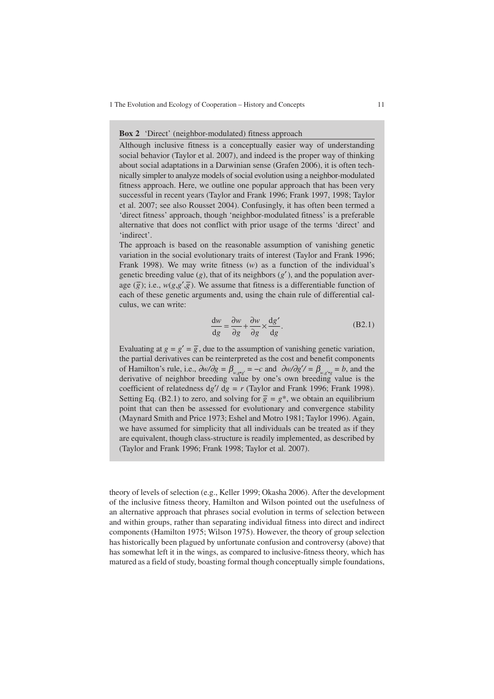#### **Box 2** 'Direct' (neighbor-modulated) fitness approach

Although inclusive fitness is a conceptually easier way of understanding social behavior (Taylor et al. 2007), and indeed is the proper way of thinking about social adaptations in a Darwinian sense (Grafen 2006), it is often technically simpler to analyze models of social evolution using a neighbor-modulated fitness approach. Here, we outline one popular approach that has been very successful in recent years (Taylor and Frank 1996; Frank 1997, 1998; Taylor et al. 2007; see also Rousset 2004). Confusingly, it has often been termed a 'direct fitness' approach, though 'neighbor-modulated fitness' is a preferable alternative that does not conflict with prior usage of the terms 'direct' and 'indirect'.

The approach is based on the reasonable assumption of vanishing genetic variation in the social evolutionary traits of interest (Taylor and Frank 1996; Frank 1998). We may write fitness (*w*) as a function of the individual's genetic breeding value (*g*), that of its neighbors (*g*′ ), and the population average  $(\overline{g})$ ; i.e.,  $w(g, g', \overline{g})$ . We assume that fitness is a differentiable function of each of these genetic arguments and, using the chain rule of differential calculus, we can write:

$$
\frac{dw}{dg} = \frac{\partial w}{\partial g} + \frac{\partial w}{\partial g} \times \frac{dg'}{dg}.
$$
 (B2.1)

Evaluating at  $g = g' = \overline{g}$ , due to the assumption of vanishing genetic variation, the partial derivatives can be reinterpreted as the cost and benefit components *of Hamilton's rule, i.e.,*  $\partial w / \partial g = \beta_{w, g \cdot g'} = -c$  *and*  $\partial w / \partial g' / = \beta_{w, g' \cdot g} = b$ *, and the* derivative of neighbor breeding value by one's own breeding value is the coefficient of relatedness d*g*′/ d*g = r* (Taylor and Frank 1996; Frank 1998). Setting Eq. (B2.1) to zero, and solving for  $\overline{g} = g^*$ , we obtain an equilibrium point that can then be assessed for evolutionary and convergence stability (Maynard Smith and Price 1973; Eshel and Motro 1981; Taylor 1996). Again, we have assumed for simplicity that all individuals can be treated as if they are equivalent, though class-structure is readily implemented, as described by (Taylor and Frank 1996; Frank 1998; Taylor et al. 2007).

theory of levels of selection (e.g., Keller 1999; Okasha 2006). After the development of the inclusive fitness theory, Hamilton and Wilson pointed out the usefulness of an alternative approach that phrases social evolution in terms of selection between and within groups, rather than separating individual fitness into direct and indirect components (Hamilton 1975; Wilson 1975). However, the theory of group selection has historically been plagued by unfortunate confusion and controversy (above) that has somewhat left it in the wings, as compared to inclusive-fitness theory, which has matured as a field of study, boasting formal though conceptually simple foundations,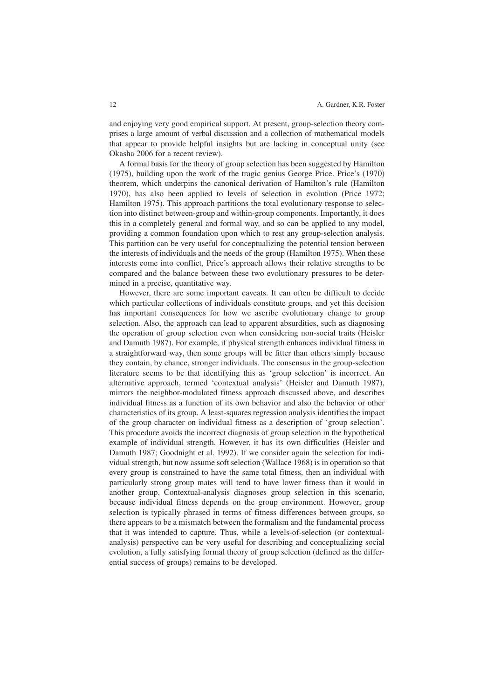and enjoying very good empirical support. At present, group-selection theory comprises a large amount of verbal discussion and a collection of mathematical models that appear to provide helpful insights but are lacking in conceptual unity (see Okasha 2006 for a recent review).

A formal basis for the theory of group selection has been suggested by Hamilton (1975), building upon the work of the tragic genius George Price . Price's (1970) theorem, which underpins the canonical derivation of Hamilton's rule (Hamilton 1970), has also been applied to levels of selection in evolution (Price 1972; Hamilton 1975). This approach partitions the total evolutionary response to selection into distinct between-group and within-group components. Importantly, it does this in a completely general and formal way, and so can be applied to any model, providing a common foundation upon which to rest any group-selection analysis. This partition can be very useful for conceptualizing the potential tension between the interests of individuals and the needs of the group (Hamilton 1975). When these interests come into conflict, Price's approach allows their relative strengths to be compared and the balance between these two evolutionary pressures to be determined in a precise, quantitative way.

However, there are some important caveats. It can often be difficult to decide which particular collections of individuals constitute groups, and yet this decision has important consequences for how we ascribe evolutionary change to group selection. Also, the approach can lead to apparent absurdities, such as diagnosing the operation of group selection even when considering non-social traits (Heisler and Damuth 1987). For example, if physical strength enhances individual fitness in a straightforward way, then some groups will be fitter than others simply because they contain, by chance, stronger individuals. The consensus in the group-selection literature seems to be that identifying this as 'group selection' is incorrect. An alternative approach, termed 'contextual analysis' (Heisler and Damuth 1987), mirrors the neighbor-modulated fitness approach discussed above, and describes individual fitness as a function of its own behavior and also the behavior or other characteristics of its group. A least-squares regression analysis identifies the impact of the group character on individual fitness as a description of 'group selection'. This procedure avoids the incorrect diagnosis of group selection in the hypothetical example of individual strength. However, it has its own difficulties (Heisler and Damuth 1987; Goodnight et al. 1992). If we consider again the selection for individual strength, but now assume soft selection (Wallace 1968) is in operation so that every group is constrained to have the same total fitness, then an individual with particularly strong group mates will tend to have lower fitness than it would in another group. Contextual-analysis diagnoses group selection in this scenario, because individual fitness depends on the group environment. However, group selection is typically phrased in terms of fitness differences between groups, so there appears to be a mismatch between the formalism and the fundamental process that it was intended to capture. Thus, while a levels-of-selection (or contextualanalysis) perspective can be very useful for describing and conceptualizing social evolution, a fully satisfying formal theory of group selection (defined as the differential success of groups) remains to be developed.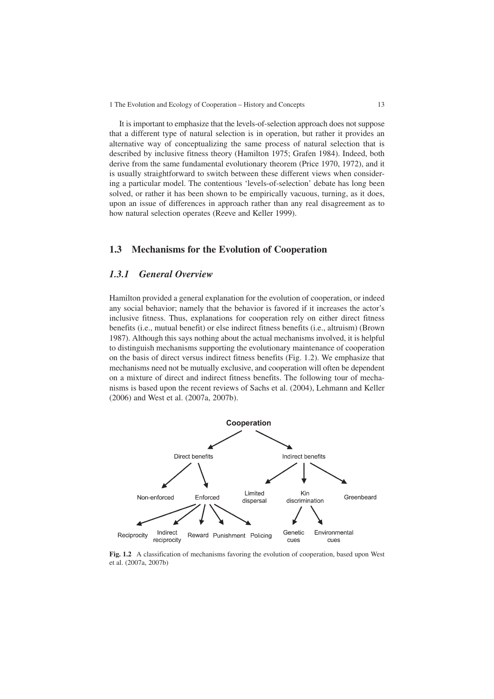1 The Evolution and Ecology of Cooperation – History and Concepts 13

It is important to emphasize that the levels-of-selection approach does not suppose that a different type of natural selection is in operation, but rather it provides an alternative way of conceptualizing the same process of natural selection that is described by inclusive fitness theory (Hamilton 1975; Grafen 1984). Indeed, both derive from the same fundamental evolutionary theorem (Price 1970, 1972), and it is usually straightforward to switch between these different views when considering a particular model. The contentious 'levels-of-selection' debate has long been solved, or rather it has been shown to be empirically vacuous, turning, as it does, upon an issue of differences in approach rather than any real disagreement as to how natural selection operates (Reeve and Keller 1999).

# **1.3 Mechanisms for the Evolution of Cooperation**

#### *1.3.1 General Overview*

Hamilton provided a general explanation for the evolution of cooperation , or indeed any social behavior; namely that the behavior is favored if it increases the actor's inclusive fitness. Thus, explanations for cooperation rely on either direct fitness benefits (i.e., mutual benefit) or else indirect fitness benefits (i.e., altruism) (Brown 1987). Although this says nothing about the actual mechanisms involved, it is helpful to distinguish mechanisms supporting the evolutionary maintenance of cooperation on the basis of direct versus indirect fitness benefits (Fig. 1.2). We emphasize that mechanisms need not be mutually exclusive, and cooperation will often be dependent on a mixture of direct and indirect fitness benefits. The following tour of mechanisms is based upon the recent reviews of Sachs et al. (2004), Lehmann and Keller (2006) and West et al. (2007a, 2007b).



**Fig. 1.2** A classification of mechanisms favoring the evolution of cooperation, based upon West et al. (2007a, 2007b)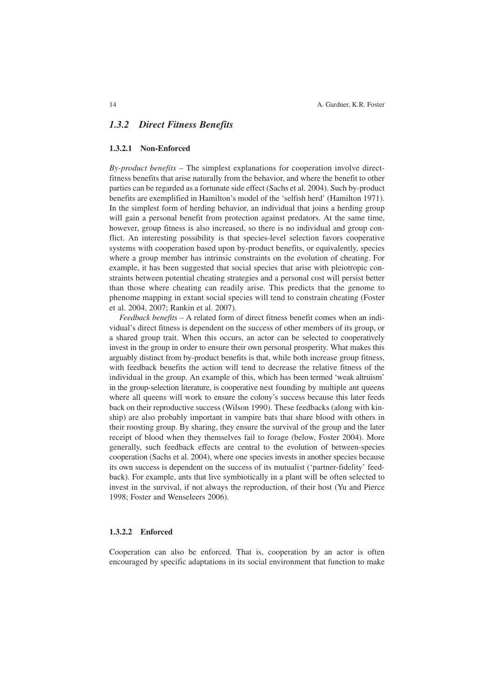14 A. Gardner, K.R. Foster

## *1.3.2 Direct Fitness Benefits*

#### **1.3.2.1 Non-Enforced**

*By-product benefits* – The simplest explanations for cooperation involve directfitness benefits that arise naturally from the behavior, and where the benefit to other parties can be regarded as a fortunate side effect (Sachs et al. 2004). Such by-product benefits are exemplified in Hamilton's model of the 'selfish herd' (Hamilton 1971). In the simplest form of herding behavior, an individual that joins a herding group will gain a personal benefit from protection against predators. At the same time, however, group fitness is also increased, so there is no individual and group conflict. An interesting possibility is that species-level selection favors cooperative systems with cooperation based upon by-product benefits, or equivalently, species where a group member has intrinsic constraints on the evolution of cheating. For example, it has been suggested that social species that arise with pleiotropic constraints between potential cheating strategies and a personal cost will persist better than those where cheating can readily arise. This predicts that the genome to phenome mapping in extant social species will tend to constrain cheating (Foster et al. 2004, 2007; Rankin et al. 2007).

*Feedback benefits* – A related form of direct fitness benefit comes when an individual's direct fitness is dependent on the success of other members of its group, or a shared group trait. When this occurs, an actor can be selected to cooperatively invest in the group in order to ensure their own personal prosperity. What makes this arguably distinct from by-product benefits is that, while both increase group fitness, with feedback benefits the action will tend to decrease the relative fitness of the individual in the group. An example of this, which has been termed 'weak altruism' in the group-selection literature, is cooperative nest founding by multiple ant queens where all queens will work to ensure the colony's success because this later feeds back on their reproductive success (Wilson 1990). These feedbacks (along with kinship) are also probably important in vampire bats that share blood with others in their roosting group. By sharing, they ensure the survival of the group and the later receipt of blood when they themselves fail to forage (below, Foster 2004). More generally, such feedback effects are central to the evolution of between-species cooperation (Sachs et al. 2004), where one species invests in another species because its own success is dependent on the success of its mutualist ('partner-fidelity' feedback). For example, ants that live symbiotically in a plant will be often selected to invest in the survival, if not always the reproduction, of their host (Yu and Pierce 1998; Foster and Wenseleers 2006).

#### **1.3.2.2 Enforced**

 Cooperation can also be enforced. That is, cooperation by an actor is often encouraged by specific adaptations in its social environment that function to make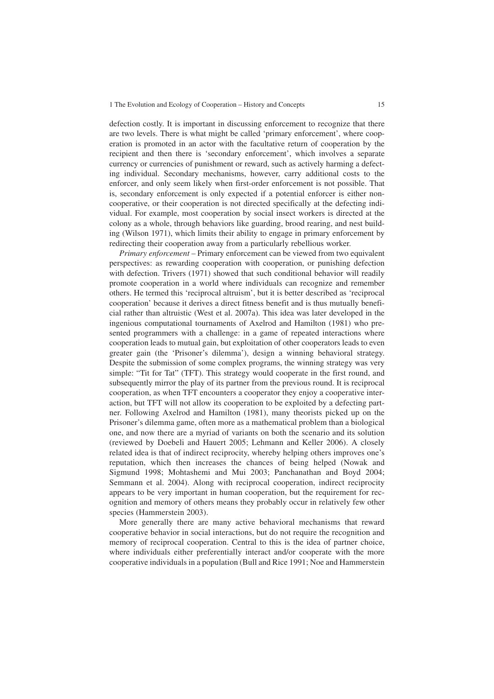defection costly. It is important in discussing enforcement to recognize that there are two levels. There is what might be called 'primary enforcement', where cooperation is promoted in an actor with the facultative return of cooperation by the recipient and then there is 'secondary enforcement', which involves a separate currency or currencies of punishment or reward, such as actively harming a defecting individual. Secondary mechanisms, however, carry additional costs to the enforcer, and only seem likely when first-order enforcement is not possible. That is, secondary enforcement is only expected if a potential enforcer is either noncooperative, or their cooperation is not directed specifically at the defecting individual. For example, most cooperation by social insect workers is directed at the colony as a whole, through behaviors like guarding, brood rearing, and nest building (Wilson 1971), which limits their ability to engage in primary enforcement by redirecting their cooperation away from a particularly rebellious worker.

*Primary enforcement* – Primary enforcement can be viewed from two equivalent perspectives: as rewarding cooperation with cooperation, or punishing defection with defection. Trivers (1971) showed that such conditional behavior will readily promote cooperation in a world where individuals can recognize and remember others. He termed this 'reciprocal altruism', but it is better described as 'reciprocal cooperation' because it derives a direct fitness benefit and is thus mutually beneficial rather than altruistic (West et al. 2007a). This idea was later developed in the ingenious computational tournaments of Axelrod and Hamilton (1981) who presented programmers with a challenge: in a game of repeated interactions where cooperation leads to mutual gain, but exploitation of other cooperators leads to even greater gain (the 'Prisoner's dilemma'), design a winning behavioral strategy. Despite the submission of some complex programs, the winning strategy was very simple: "Tit for Tat" (TFT). This strategy would cooperate in the first round, and subsequently mirror the play of its partner from the previous round. It is reciprocal cooperation, as when TFT encounters a cooperator they enjoy a cooperative interaction, but TFT will not allow its cooperation to be exploited by a defecting partner. Following Axelrod and Hamilton (1981), many theorists picked up on the Prisoner's dilemma game, often more as a mathematical problem than a biological one, and now there are a myriad of variants on both the scenario and its solution (reviewed by Doebeli and Hauert 2005; Lehmann and Keller 2006). A closely related idea is that of indirect reciprocity, whereby helping others improves one's reputation, which then increases the chances of being helped (Nowak and Sigmund 1998; Mohtashemi and Mui 2003; Panchanathan and Boyd 2004; Semmann et al. 2004). Along with reciprocal cooperation, indirect reciprocity appears to be very important in human cooperation, but the requirement for recognition and memory of others means they probably occur in relatively few other species (Hammerstein 2003).

More generally there are many active behavioral mechanisms that reward cooperative behavior in social interactions, but do not require the recognition and memory of reciprocal cooperation. Central to this is the idea of partner choice, where individuals either preferentially interact and/or cooperate with the more cooperative individuals in a population (Bull and Rice 1991; Noe and Hammerstein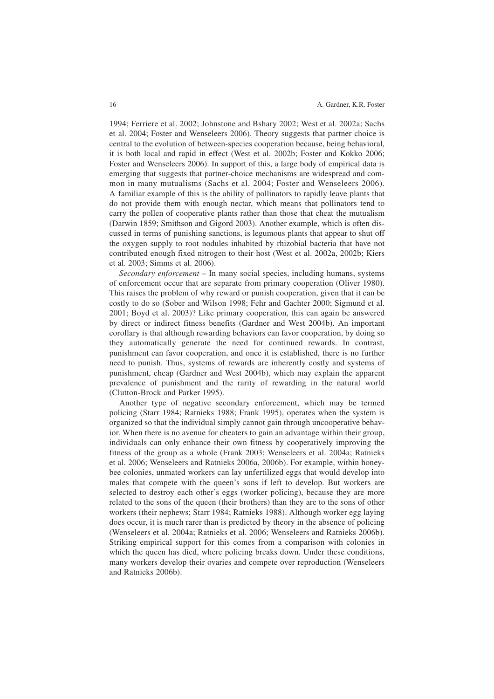1994; Ferriere et al. 2002; Johnstone and Bshary 2002; West et al. 2002a; Sachs et al. 2004; Foster and Wenseleers 2006). Theory suggests that partner choice is central to the evolution of between-species cooperation because, being behavioral, it is both local and rapid in effect (West et al. 2002b; Foster and Kokko 2006; Foster and Wenseleers 2006). In support of this, a large body of empirical data is emerging that suggests that partner-choice mechanisms are widespread and common in many mutualisms (Sachs et al. 2004; Foster and Wenseleers 2006). A familiar example of this is the ability of pollinators to rapidly leave plants that do not provide them with enough nectar, which means that pollinators tend to carry the pollen of cooperative plants rather than those that cheat the mutualism (Darwin 1859; Smithson and Gigord 2003). Another example, which is often discussed in terms of punishing sanctions, is legumous plants that appear to shut off the oxygen supply to root nodules inhabited by rhizobial bacteria that have not contributed enough fixed nitrogen to their host (West et al. 2002a, 2002b; Kiers et al. 2003; Simms et al. 2006).

*Secondary enforcement* – In many social species, including humans, systems of enforcement occur that are separate from primary cooperation (Oliver 1980). This raises the problem of why reward or punish cooperation, given that it can be costly to do so (Sober and Wilson 1998; Fehr and Gachter 2000; Sigmund et al. 2001; Boyd et al. 2003)? Like primary cooperation, this can again be answered by direct or indirect fitness benefits (Gardner and West 2004b). An important corollary is that although rewarding behaviors can favor cooperation, by doing so they automatically generate the need for continued rewards. In contrast, punishment can favor cooperation, and once it is established, there is no further need to punish. Thus, systems of rewards are inherently costly and systems of punishment, cheap (Gardner and West 2004b), which may explain the apparent prevalence of punishment and the rarity of rewarding in the natural world (Clutton-Brock and Parker 1995).

Another type of negative secondary enforcement, which may be termed policing (Starr 1984; Ratnieks 1988; Frank 1995), operates when the system is organized so that the individual simply cannot gain through uncooperative behavior. When there is no avenue for cheaters to gain an advantage within their group, individuals can only enhance their own fitness by cooperatively improving the fitness of the group as a whole (Frank 2003; Wenseleers et al. 2004a; Ratnieks et al. 2006; Wenseleers and Ratnieks 2006a, 2006b). For example, within honeybee colonies, unmated workers can lay unfertilized eggs that would develop into males that compete with the queen's sons if left to develop. But workers are selected to destroy each other's eggs (worker policing), because they are more related to the sons of the queen (their brothers) than they are to the sons of other workers (their nephews; Starr 1984; Ratnieks 1988). Although worker egg laying does occur, it is much rarer than is predicted by theory in the absence of policing (Wenseleers et al. 2004a; Ratnieks et al. 2006; Wenseleers and Ratnieks 2006b). Striking empirical support for this comes from a comparison with colonies in which the queen has died, where policing breaks down. Under these conditions, many workers develop their ovaries and compete over reproduction (Wenseleers and Ratnieks 2006b).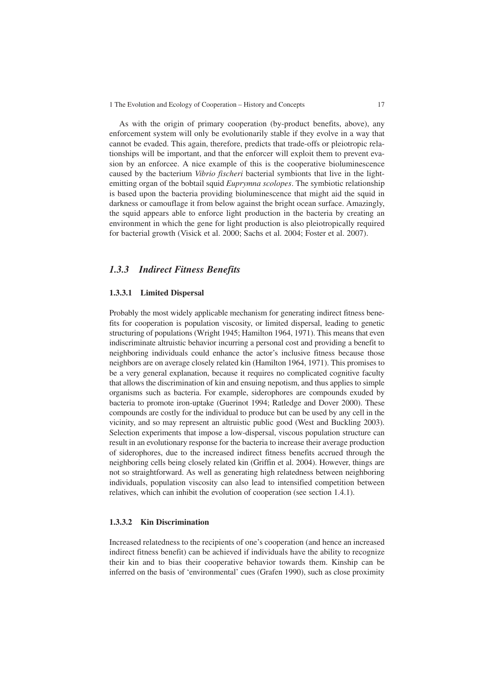As with the origin of primary cooperation (by-product benefits, above), any enforcement system will only be evolutionarily stable if they evolve in a way that cannot be evaded. This again, therefore, predicts that trade-offs or pleiotropic relationships will be important, and that the enforcer will exploit them to prevent evasion by an enforcee. A nice example of this is the cooperative bioluminescence caused by the bacterium *Vibrio fischeri* bacterial symbionts that live in the lightemitting organ of the bobtail squid *Euprymna scolopes*. The symbiotic relationship is based upon the bacteria providing bioluminescence that might aid the squid in darkness or camouflage it from below against the bright ocean surface. Amazingly, the squid appears able to enforce light production in the bacteria by creating an environment in which the gene for light production is also pleiotropically required for bacterial growth (Visick et al. 2000; Sachs et al. 2004; Foster et al. 2007).

### *1.3.3 Indirect Fitness Benefits*

#### **1.3.3.1 Limited Dispersal**

Probably the most widely applicable mechanism for generating indirect fitness benefits for cooperation is population viscosity , or limited dispersal, leading to genetic structuring of populations (Wright 1945; Hamilton 1964, 1971). This means that even indiscriminate altruistic behavior incurring a personal cost and providing a benefit to neighboring individuals could enhance the actor's inclusive fitness because those neighbors are on average closely related kin (Hamilton 1964, 1971). This promises to be a very general explanation, because it requires no complicated cognitive faculty that allows the discrimination of kin and ensuing nepotism, and thus applies to simple organisms such as bacteria. For example, siderophores are compounds exuded by bacteria to promote iron-uptake (Guerinot 1994; Ratledge and Dover 2000). These compounds are costly for the individual to produce but can be used by any cell in the vicinity, and so may represent an altruistic public good (West and Buckling 2003). Selection experiments that impose a low-dispersal, viscous population structure can result in an evolutionary response for the bacteria to increase their average production of siderophores, due to the increased indirect fitness benefits accrued through the neighboring cells being closely related kin (Griffin et al. 2004). However, things are not so straightforward. As well as generating high relatedness between neighboring individuals, population viscosity can also lead to intensified competition between relatives, which can inhibit the evolution of cooperation (see section 1.4.1).

#### **1.3.3.2 Kin Discrimination**

 Increased relatedness to the recipients of one's cooperation (and hence an increased indirect fitness benefit) can be achieved if individuals have the ability to recognize their kin and to bias their cooperative behavior towards them. Kinship can be inferred on the basis of 'environmental' cues (Grafen 1990), such as close proximity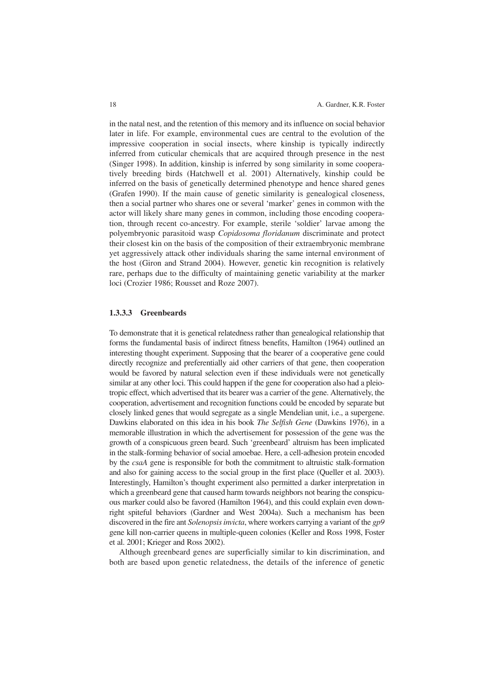in the natal nest, and the retention of this memory and its influence on social behavior later in life. For example, environmental cues are central to the evolution of the impressive cooperation in social insects, where kinship is typically indirectly inferred from cuticular chemicals that are acquired through presence in the nest (Singer 1998). In addition, kinship is inferred by song similarity in some cooperatively breeding birds (Hatchwell et al. 2001) Alternatively, kinship could be inferred on the basis of genetically determined phenotype and hence shared genes (Grafen 1990). If the main cause of genetic similarity is genealogical closeness, then a social partner who shares one or several 'marker' genes in common with the actor will likely share many genes in common, including those encoding cooperation, through recent co-ancestry. For example, sterile 'soldier' larvae among the polyembryonic parasitoid wasp *Copidosoma floridanum* discriminate and protect their closest kin on the basis of the composition of their extraembryonic membrane yet aggressively attack other individuals sharing the same internal environment of the host (Giron and Strand 2004). However, genetic kin recognition is relatively rare, perhaps due to the difficulty of maintaining genetic variability at the marker loci (Crozier 1986; Rousset and Roze 2007).

#### **1.3.3.3 Greenbeards**

To demonstrate that it is genetical relatedness rather than genealogical relationship that forms the fundamental basis of indirect fitness benefits, Hamilton (1964) outlined an interesting thought experiment. Supposing that the bearer of a cooperative gene could directly recognize and preferentially aid other carriers of that gene, then cooperation would be favored by natural selection even if these individuals were not genetically similar at any other loci. This could happen if the gene for cooperation also had a pleiotropic effect, which advertised that its bearer was a carrier of the gene. Alternatively, the cooperation, advertisement and recognition functions could be encoded by separate but closely linked genes that would segregate as a single Mendelian unit, i.e., a supergene . Dawkins elaborated on this idea in his book *The Selfish Gene* (Dawkins 1976), in a memorable illustration in which the advertisement for possession of the gene was the growth of a conspicuous green beard. Such 'greenbeard' altruism has been implicated in the stalk-forming behavior of social amoebae . Here, a cell-adhesion protein encoded by the *csaA* gene is responsible for both the commitment to altruistic stalk-formation and also for gaining access to the social group in the first place (Queller et al. 2003). Interestingly, Hamilton's thought experiment also permitted a darker interpretation in which a greenbeard gene that caused harm towards neighbors not bearing the conspicuous marker could also be favored (Hamilton 1964), and this could explain even downright spiteful behaviors (Gardner and West 2004a). Such a mechanism has been discovered in the fire ant *Solenopsis invicta*, where workers carrying a variant of the *gp9* gene kill non-carrier queens in multiple-queen colonies (Keller and Ross 1998, Foster et al. 2001; Krieger and Ross 2002).

Although greenbeard genes are superficially similar to kin discrimination, and both are based upon genetic relatedness, the details of the inference of genetic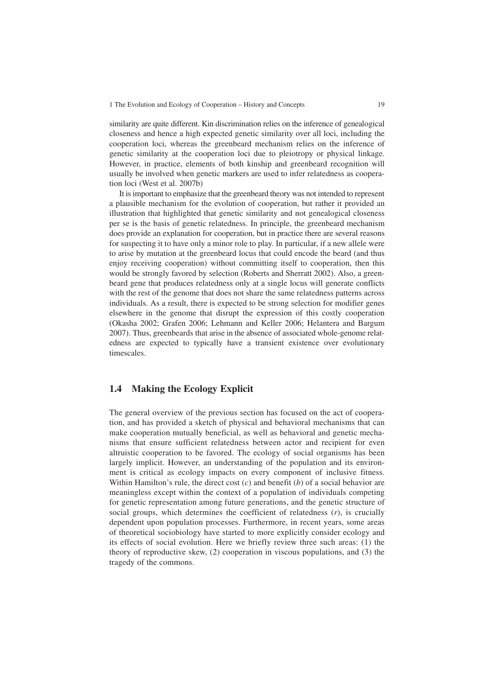similarity are quite different. Kin discrimination relies on the inference of genealogical closeness and hence a high expected genetic similarity over all loci, including the cooperation loci, whereas the greenbeard mechanism relies on the inference of genetic similarity at the cooperation loci due to pleiotropy or physical linkage . However, in practice, elements of both kinship and greenbeard recognition will usually be involved when genetic markers are used to infer relatedness as cooperation loci (West et al. 2007b)

It is important to emphasize that the greenbeard theory was not intended to represent a plausible mechanism for the evolution of cooperation, but rather it provided an illustration that highlighted that genetic similarity and not genealogical closeness per se is the basis of genetic relatedness . In principle, the greenbeard mechanism does provide an explanation for cooperation, but in practice there are several reasons for suspecting it to have only a minor role to play. In particular, if a new allele were to arise by mutation at the greenbeard locus that could encode the beard (and thus enjoy receiving cooperation) without committing itself to cooperation, then this would be strongly favored by selection (Roberts and Sherratt 2002). Also, a greenbeard gene that produces relatedness only at a single locus will generate conflicts with the rest of the genome that does not share the same relatedness patterns across individuals. As a result, there is expected to be strong selection for modifier genes elsewhere in the genome that disrupt the expression of this costly cooperation (Okasha 2002; Grafen 2006; Lehmann and Keller 2006; Helantera and Bargum 2007). Thus, greenbeards that arise in the absence of associated whole-genome relatedness are expected to typically have a transient existence over evolutionary timescales.

### **1.4 Making the Ecology Explicit**

The general overview of the previous section has focused on the act of cooperation, and has provided a sketch of physical and behavioral mechanisms that can make cooperation mutually beneficial, as well as behavioral and genetic mechanisms that ensure sufficient relatedness between actor and recipient for even altruistic cooperation to be favored. The ecology of social organisms has been largely implicit. However, an understanding of the population and its environment is critical as ecology impacts on every component of inclusive fitness. Within Hamilton's rule, the direct cost  $(c)$  and benefit  $(b)$  of a social behavior are meaningless except within the context of a population of individuals competing for genetic representation among future generations, and the genetic structure of social groups, which determines the coefficient of relatedness (*r*), is crucially dependent upon population processes. Furthermore, in recent years, some areas of theoretical sociobiology have started to more explicitly consider ecology and its effects of social evolution. Here we briefly review three such areas: (1) the theory of reproductive skew, (2) cooperation in viscous populations, and (3) the tragedy of the commons.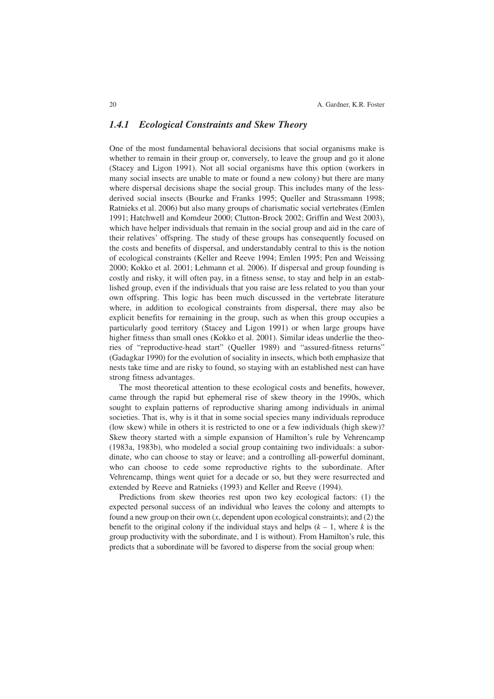# *1.4.1 Ecological Constraints and Skew Theory*

One of the most fundamental behavioral decisions that social organisms make is whether to remain in their group or, conversely, to leave the group and go it alone (Stacey and Ligon 1991). Not all social organisms have this option (workers in many social insects are unable to mate or found a new colony) but there are many where dispersal decisions shape the social group. This includes many of the lessderived social insects (Bourke and Franks 1995; Queller and Strassmann 1998; Ratnieks et al. 2006) but also many groups of charismatic social vertebrates (Emlen 1991; Hatchwell and Komdeur 2000; Clutton-Brock 2002; Griffin and West 2003), which have helper individuals that remain in the social group and aid in the care of their relatives' offspring. The study of these groups has consequently focused on the costs and benefits of dispersal, and understandably central to this is the notion of ecological constraints (Keller and Reeve 1994; Emlen 1995; Pen and Weissing 2000; Kokko et al. 2001; Lehmann et al. 2006). If dispersal and group founding is costly and risky, it will often pay, in a fitness sense, to stay and help in an established group, even if the individuals that you raise are less related to you than your own offspring. This logic has been much discussed in the vertebrate literature where, in addition to ecological constraints from dispersal, there may also be explicit benefits for remaining in the group, such as when this group occupies a particularly good territory (Stacey and Ligon 1991) or when large groups have higher fitness than small ones (Kokko et al. 2001). Similar ideas underlie the theories of "reproductive-head start" (Queller 1989) and "assured-fitness returns" (Gadagkar 1990) for the evolution of sociality in insects, which both emphasize that nests take time and are risky to found, so staying with an established nest can have strong fitness advantages.

The most theoretical attention to these ecological costs and benefits, however, came through the rapid but ephemeral rise of skew theory in the 1990s, which sought to explain patterns of reproductive sharing among individuals in animal societies. That is, why is it that in some social species many individuals reproduce (low skew) while in others it is restricted to one or a few individuals (high skew)? Skew theory started with a simple expansion of Hamilton's rule by Vehrencamp (1983a, 1983b), who modeled a social group containing two individuals: a subordinate, who can choose to stay or leave; and a controlling all-powerful dominant, who can choose to cede some reproductive rights to the subordinate. After Vehrencamp, things went quiet for a decade or so, but they were resurrected and extended by Reeve and Ratnieks (1993) and Keller and Reeve (1994).

Predictions from skew theories rest upon two key ecological factors: (1) the expected personal success of an individual who leaves the colony and attempts to found a new group on their own (*x*, dependent upon ecological constraints); and (2) the benefit to the original colony if the individual stays and helps  $(k - 1)$ , where *k* is the group productivity with the subordinate, and 1 is without). From Hamilton's rule, this predicts that a subordinate will be favored to disperse from the social group when: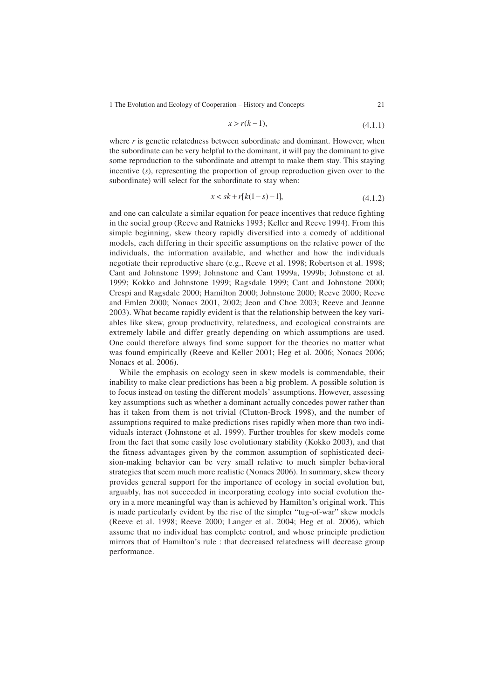1 The Evolution and Ecology of Cooperation – History and Concepts 21

$$
x > r(k-1),\tag{4.1.1}
$$

where *r* is genetic relatedness between subordinate and dominant. However, when the subordinate can be very helpful to the dominant, it will pay the dominant to give some reproduction to the subordinate and attempt to make them stay. This staying incentive (*s*), representing the proportion of group reproduction given over to the subordinate) will select for the subordinate to stay when:

$$
x < sk + r[k(1-s) - 1],\tag{4.1.2}
$$

and one can calculate a similar equation for peace incentives that reduce fighting in the social group (Reeve and Ratnieks 1993; Keller and Reeve 1994). From this simple beginning, skew theory rapidly diversified into a comedy of additional models, each differing in their specific assumptions on the relative power of the individuals, the information available, and whether and how the individuals negotiate their reproductive share (e.g., Reeve et al. 1998; Robertson et al. 1998; Cant and Johnstone 1999; Johnstone and Cant 1999a, 1999b; Johnstone et al. 1999; Kokko and Johnstone 1999; Ragsdale 1999; Cant and Johnstone 2000; Crespi and Ragsdale 2000; Hamilton 2000; Johnstone 2000; Reeve 2000; Reeve and Emlen 2000; Nonacs 2001, 2002; Jeon and Choe 2003; Reeve and Jeanne 2003). What became rapidly evident is that the relationship between the key variables like skew, group productivity, relatedness, and ecological constraints are extremely labile and differ greatly depending on which assumptions are used. One could therefore always find some support for the theories no matter what was found empirically (Reeve and Keller 2001; Heg et al. 2006; Nonacs 2006; Nonacs et al. 2006).

While the emphasis on ecology seen in skew models is commendable, their inability to make clear predictions has been a big problem. A possible solution is to focus instead on testing the different models' assumptions. However, assessing key assumptions such as whether a dominant actually concedes power rather than has it taken from them is not trivial (Clutton-Brock 1998), and the number of assumptions required to make predictions rises rapidly when more than two individuals interact (Johnstone et al. 1999). Further troubles for skew models come from the fact that some easily lose evolutionary stability (Kokko 2003), and that the fitness advantages given by the common assumption of sophisticated decision-making behavior can be very small relative to much simpler behavioral strategies that seem much more realistic (Nonacs 2006). In summary, skew theory provides general support for the importance of ecology in social evolution but, arguably, has not succeeded in incorporating ecology into social evolution theory in a more meaningful way than is achieved by Hamilton's original work. This is made particularly evident by the rise of the simpler "tug-of-war" skew models (Reeve et al. 1998; Reeve 2000; Langer et al. 2004; Heg et al. 2006), which assume that no individual has complete control, and whose principle prediction mirrors that of Hamilton's rule : that decreased relatedness will decrease group performance.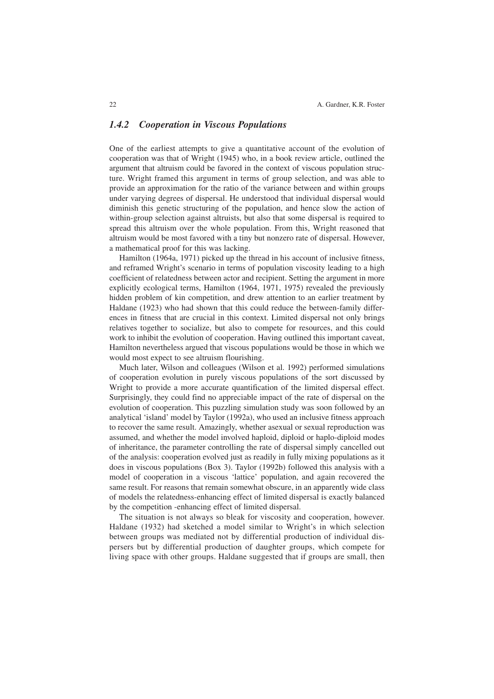## *1.4.2 Cooperation in Viscous Populations*

One of the earliest attempts to give a quantitative account of the evolution of cooperation was that of Wright (1945) who, in a book review article, outlined the argument that altruism could be favored in the context of viscous population structure. Wright framed this argument in terms of group selection, and was able to provide an approximation for the ratio of the variance between and within groups under varying degrees of dispersal. He understood that individual dispersal would diminish this genetic structuring of the population, and hence slow the action of within-group selection against altruists, but also that some dispersal is required to spread this altruism over the whole population. From this, Wright reasoned that altruism would be most favored with a tiny but nonzero rate of dispersal. However, a mathematical proof for this was lacking.

Hamilton (1964a, 1971) picked up the thread in his account of inclusive fitness, and reframed Wright's scenario in terms of population viscosity leading to a high coefficient of relatedness between actor and recipient. Setting the argument in more explicitly ecological terms, Hamilton (1964, 1971, 1975) revealed the previously hidden problem of kin competition, and drew attention to an earlier treatment by Haldane (1923) who had shown that this could reduce the between-family differences in fitness that are crucial in this context. Limited dispersal not only brings relatives together to socialize, but also to compete for resources, and this could work to inhibit the evolution of cooperation. Having outlined this important caveat, Hamilton nevertheless argued that viscous populations would be those in which we would most expect to see altruism flourishing.

Much later, Wilson and colleagues (Wilson et al. 1992) performed simulations of cooperation evolution in purely viscous populations of the sort discussed by Wright to provide a more accurate quantification of the limited dispersal effect. Surprisingly, they could find no appreciable impact of the rate of dispersal on the evolution of cooperation. This puzzling simulation study was soon followed by an analytical 'island' model by Taylor (1992a), who used an inclusive fitness approach to recover the same result. Amazingly, whether asexual or sexual reproduction was assumed, and whether the model involved haploid, diploid or haplo-diploid modes of inheritance, the parameter controlling the rate of dispersal simply cancelled out of the analysis: cooperation evolved just as readily in fully mixing populations as it does in viscous populations (Box 3). Taylor (1992b) followed this analysis with a model of cooperation in a viscous 'lattice' population, and again recovered the same result. For reasons that remain somewhat obscure, in an apparently wide class of models the relatedness-enhancing effect of limited dispersal is exactly balanced by the competition -enhancing effect of limited dispersal.

The situation is not always so bleak for viscosity and cooperation, however. Haldane (1932) had sketched a model similar to Wright's in which selection between groups was mediated not by differential production of individual dispersers but by differential production of daughter groups, which compete for living space with other groups. Haldane suggested that if groups are small, then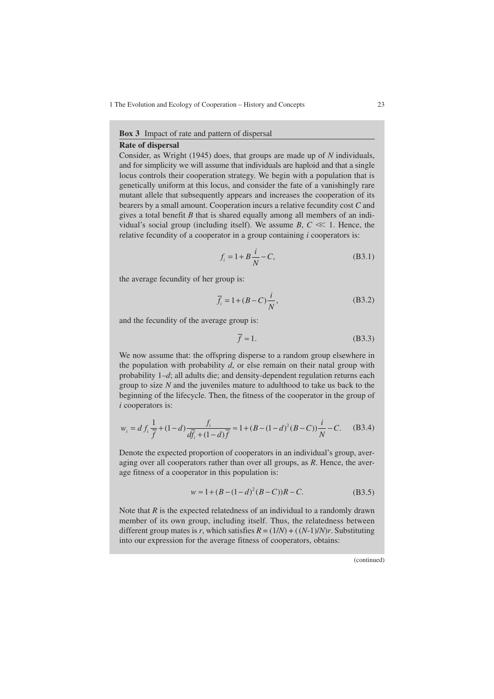**Box 3** Impact of rate and pattern of dispersal

### **Rate of dispersal**

Consider, as Wright (1945) does, that groups are made up of *N* individuals, and for simplicity we will assume that individuals are haploid and that a single locus controls their cooperation strategy. We begin with a population that is genetically uniform at this locus, and consider the fate of a vanishingly rare mutant allele that subsequently appears and increases the cooperation of its bearers by a small amount. Cooperation incurs a relative fecundity cost *C* and gives a total benefit *B* that is shared equally among all members of an individual's social group (including itself). We assume *B*,  $C \ll 1$ . Hence, the relative fecundity of a cooperator in a group containing *i* cooperators is:

$$
f_i = 1 + B\frac{i}{N} - C,
$$
 (B3.1)

the average fecundity of her group is:

$$
\overline{f}_i = 1 + (B - C) \frac{i}{N},
$$
 (B3.2)

and the fecundity of the average group is:

$$
\bar{f} \approx 1. \tag{B3.3}
$$

We now assume that: the offspring disperse to a random group elsewhere in the population with probability *d*, or else remain on their natal group with probability 1–*d*; all adults die; and density-dependent regulation returns each group to size *N* and the juveniles mature to adulthood to take us back to the beginning of the lifecycle. Then, the fitness of the cooperator in the group of *i* cooperators is:

$$
w_i = d f_i \frac{1}{\overline{f}} + (1 - d) \frac{f_i}{d\overline{f}_i + (1 - d)\overline{f}} \approx 1 + (B - (1 - d)^2 (B - C)) \frac{i}{N} - C.
$$
 (B3.4)

Denote the expected proportion of cooperators in an individual's group, averaging over all cooperators rather than over all groups, as *R*. Hence, the average fitness of a cooperator in this population is:

$$
w \approx 1 + (B - (1 - d)^2 (B - C))R - C.
$$
 (B3.5)

Note that *R* is the expected relatedness of an individual to a randomly drawn member of its own group, including itself. Thus, the relatedness between different group mates is *r*, which satisfies  $R = (1/N) + ((N-1)/N)r$ . Substituting into our expression for the average fitness of cooperators, obtains:

(continued)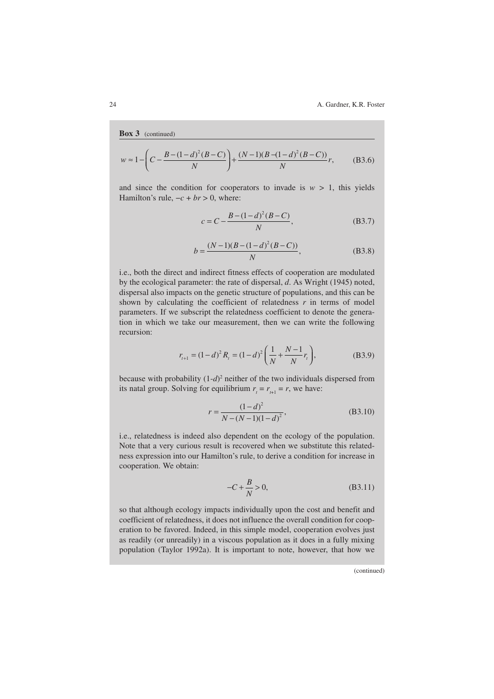24 A. Gardner, K.R. Foster

**Box 3** (continued)

$$
w \approx 1 - \left(C - \frac{B - (1 - d)^2 (B - C)}{N}\right) + \frac{(N - 1)(B - (1 - d)^2 (B - C))}{N}r,\tag{B3.6}
$$

and since the condition for cooperators to invade is  $w > 1$ , this yields Hamilton's rule,  $-c + br > 0$ , where:

$$
c = C - \frac{B - (1 - d)^2 (B - C)}{N},
$$
 (B3.7)

$$
b = \frac{(N-1)(B - (1-d)^2(B - C))}{N},
$$
 (B3.8)

i.e., both the direct and indirect fitness effects of cooperation are modulated by the ecological parameter: the rate of dispersal, *d*. As Wright (1945) noted, dispersal also impacts on the genetic structure of populations, and this can be shown by calculating the coefficient of relatedness *r* in terms of model parameters. If we subscript the relatedness coefficient to denote the generation in which we take our measurement, then we can write the following recursion:

$$
r_{t+1} = (1-d)^2 R_t = (1-d)^2 \left(\frac{1}{N} + \frac{N-1}{N}r_t\right),
$$
 (B3.9)

because with probability  $(1-d)^2$  neither of the two individuals dispersed from its natal group. Solving for equilibrium  $r_t = r_{t+1} = r$ , we have:

$$
r = \frac{(1-d)^2}{N - (N-1)(1-d)^2},
$$
 (B3.10)

i.e., relatedness is indeed also dependent on the ecology of the population. Note that a very curious result is recovered when we substitute this relatedness expression into our Hamilton's rule, to derive a condition for increase in cooperation. We obtain:

$$
-C + \frac{B}{N} > 0,
$$
\n(B3.11)

so that although ecology impacts individually upon the cost and benefit and coefficient of relatedness, it does not influence the overall condition for cooperation to be favored. Indeed, in this simple model, cooperation evolves just as readily (or unreadily) in a viscous population as it does in a fully mixing population (Taylor 1992a). It is important to note, however, that how we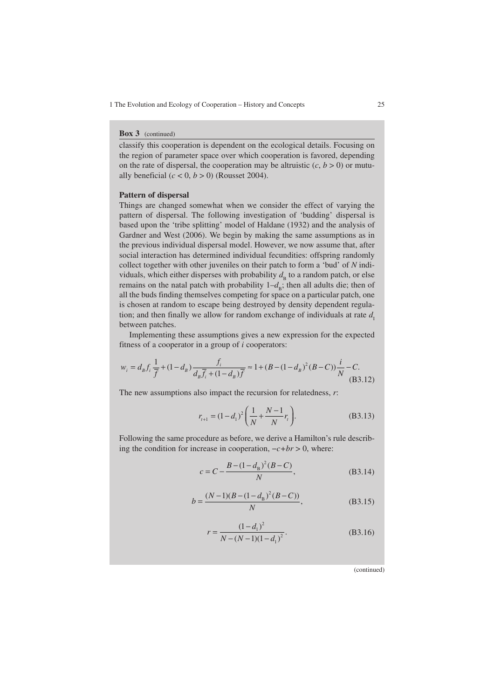### **Box 3** (continued)

classify this cooperation is dependent on the ecological details. Focusing on the region of parameter space over which cooperation is favored, depending on the rate of dispersal, the cooperation may be altruistic  $(c, b > 0)$  or mutually beneficial  $(c < 0, b > 0)$  (Rousset 2004).

### **Pattern of dispersal**

Things are changed somewhat when we consider the effect of varying the pattern of dispersal. The following investigation of 'budding' dispersal is based upon the 'tribe splitting' model of Haldane (1932) and the analysis of Gardner and West (2006). We begin by making the same assumptions as in the previous individual dispersal model. However, we now assume that, after social interaction has determined individual fecundities: offspring randomly collect together with other juveniles on their patch to form a 'bud' of *N* individuals, which either disperses with probability  $d_{\rm B}$  to a random patch, or else remains on the natal patch with probability  $1-d_{\rm B}$ ; then all adults die; then of all the buds finding themselves competing for space on a particular patch, one is chosen at random to escape being destroyed by density dependent regulation; and then finally we allow for random exchange of individuals at rate  $d<sub>1</sub>$ between patches.

Implementing these assumptions gives a new expression for the expected fitness of a cooperator in a group of *i* cooperators:

$$
w_i = d_B f_i \frac{1}{\overline{f}} + (1 - d_B) \frac{f_i}{d_B \overline{f}_i + (1 - d_B) \overline{f}} \approx 1 + (B - (1 - d_B)^2 (B - C)) \frac{i}{N} - C.
$$
\n(B3.12)

The new assumptions also impact the recursion for relatedness, *r*:

$$
r_{t+1} = (1 - d_1)^2 \left( \frac{1}{N} + \frac{N - 1}{N} r_t \right).
$$
 (B3.13)

Following the same procedure as before, we derive a Hamilton's rule describing the condition for increase in cooperation, −*c+br* > 0, where:

$$
c = C - \frac{B - (1 - d_{\rm B})^2 (B - C)}{N},
$$
 (B3.14)

$$
b = \frac{(N-1)(B - (1 - d_{\rm B})^2 (B - C))}{N},
$$
 (B3.15)

$$
r = \frac{(1 - d_1)^2}{N - (N - 1)(1 - d_1)^2}.
$$
 (B3.16)

(continued)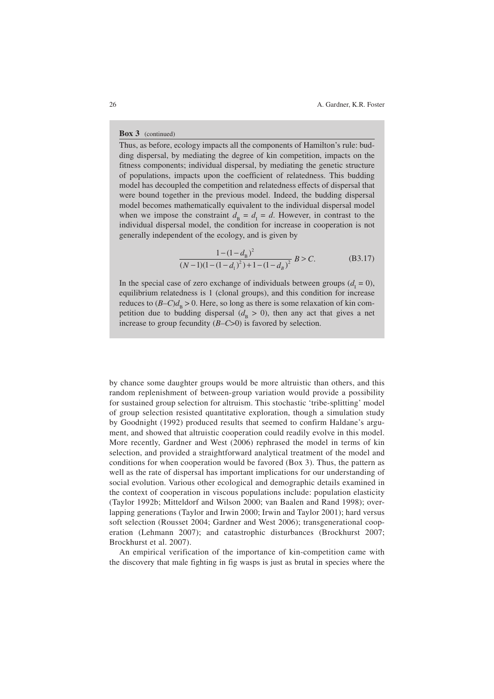#### **Box 3** (continued)

Thus, as before, ecology impacts all the components of Hamilton's rule: budding dispersal, by mediating the degree of kin competition, impacts on the fitness components; individual dispersal, by mediating the genetic structure of populations, impacts upon the coefficient of relatedness. This budding model has decoupled the competition and relatedness effects of dispersal that were bound together in the previous model. Indeed, the budding dispersal model becomes mathematically equivalent to the individual dispersal model when we impose the constraint  $d_{\text{B}} = d_{\text{I}} = d$ . However, in contrast to the individual dispersal model, the condition for increase in cooperation is not generally independent of the ecology, and is given by

$$
\frac{1 - (1 - d_{\rm B})^2}{(N - 1)(1 - (1 - d_1)^2) + 1 - (1 - d_{\rm B})^2} \ B > C.
$$
 (B3.17)

In the special case of zero exchange of individuals between groups  $(d_1 = 0)$ , equilibrium relatedness is 1 (clonal groups), and this condition for increase reduces to  $(B-C)d<sub>B</sub> > 0$ . Here, so long as there is some relaxation of kin competition due to budding dispersal  $(d_5 > 0)$ , then any act that gives a net increase to group fecundity (*B–C*>0) is favored by selection.

by chance some daughter groups would be more altruistic than others, and this random replenishment of between-group variation would provide a possibility for sustained group selection for altruism. This stochastic 'tribe-splitting' model of group selection resisted quantitative exploration, though a simulation study by Goodnight (1992) produced results that seemed to confirm Haldane's argument, and showed that altruistic cooperation could readily evolve in this model. More recently, Gardner and West (2006) rephrased the model in terms of kin selection, and provided a straightforward analytical treatment of the model and conditions for when cooperation would be favored (Box 3). Thus, the pattern as well as the rate of dispersal has important implications for our understanding of social evolution. Various other ecological and demographic details examined in the context of cooperation in viscous populations include: population elasticity (Taylor 1992b; Mitteldorf and Wilson 2000; van Baalen and Rand 1998); overlapping generations (Taylor and Irwin 2000; Irwin and Taylor 2001); hard versus soft selection (Rousset 2004; Gardner and West 2006); transgenerational cooperation (Lehmann 2007); and catastrophic disturbances (Brockhurst 2007; Brockhurst et al. 2007).

An empirical verification of the importance of kin-competition came with the discovery that male fighting in fig wasps is just as brutal in species where the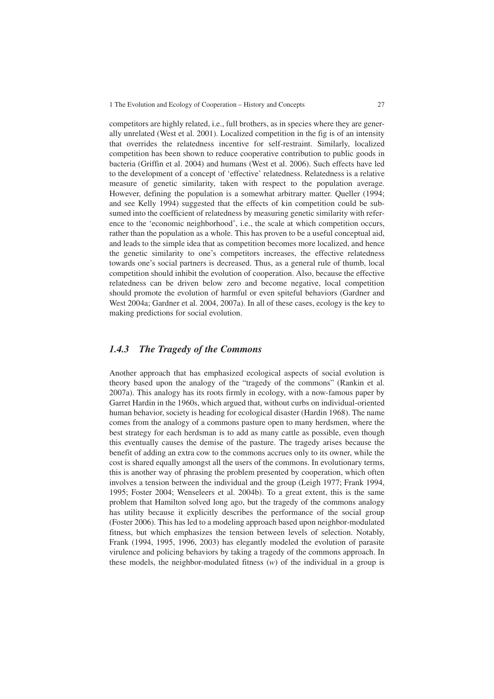competitors are highly related, i.e., full brothers, as in species where they are generally unrelated (West et al. 2001). Localized competition in the fig is of an intensity that overrides the relatedness incentive for self-restraint. Similarly, localized competition has been shown to reduce cooperative contribution to public goods in bacteria (Griffin et al. 2004) and humans (West et al. 2006). Such effects have led to the development of a concept of 'effective' relatedness . Relatedness is a relative measure of genetic similarity, taken with respect to the population average. However, defining the population is a somewhat arbitrary matter. Queller (1994; and see Kelly 1994) suggested that the effects of kin competition could be subsumed into the coefficient of relatedness by measuring genetic similarity with reference to the 'economic neighborhood', i.e., the scale at which competition occurs, rather than the population as a whole. This has proven to be a useful conceptual aid, and leads to the simple idea that as competition becomes more localized, and hence the genetic similarity to one's competitors increases, the effective relatedness towards one's social partners is decreased. Thus, as a general rule of thumb, local competition should inhibit the evolution of cooperation. Also, because the effective relatedness can be driven below zero and become negative, local competition should promote the evolution of harmful or even spiteful behaviors (Gardner and West 2004a; Gardner et al. 2004, 2007a). In all of these cases, ecology is the key to making predictions for social evolution.

# *1.4.3 The Tragedy of the Commons*

Another approach that has emphasized ecological aspects of social evolution is theory based upon the analogy of the "tragedy of the commons" (Rankin et al. 2007a). This analogy has its roots firmly in ecology, with a now-famous paper by Garret Hardin in the 1960s, which argued that, without curbs on individual-oriented human behavior, society is heading for ecological disaster (Hardin 1968). The name comes from the analogy of a commons pasture open to many herdsmen, where the best strategy for each herdsman is to add as many cattle as possible, even though this eventually causes the demise of the pasture. The tragedy arises because the benefit of adding an extra cow to the commons accrues only to its owner, while the cost is shared equally amongst all the users of the commons. In evolutionary terms, this is another way of phrasing the problem presented by cooperation, which often involves a tension between the individual and the group (Leigh 1977; Frank 1994, 1995; Foster 2004; Wenseleers et al. 2004b). To a great extent, this is the same problem that Hamilton solved long ago, but the tragedy of the commons analogy has utility because it explicitly describes the performance of the social group (Foster 2006). This has led to a modeling approach based upon neighbor-modulated fitness, but which emphasizes the tension between levels of selection . Notably, Frank (1994, 1995, 1996, 2003) has elegantly modeled the evolution of parasite virulence and policing behaviors by taking a tragedy of the commons approach. In these models, the neighbor-modulated fitness (*w*) of the individual in a group is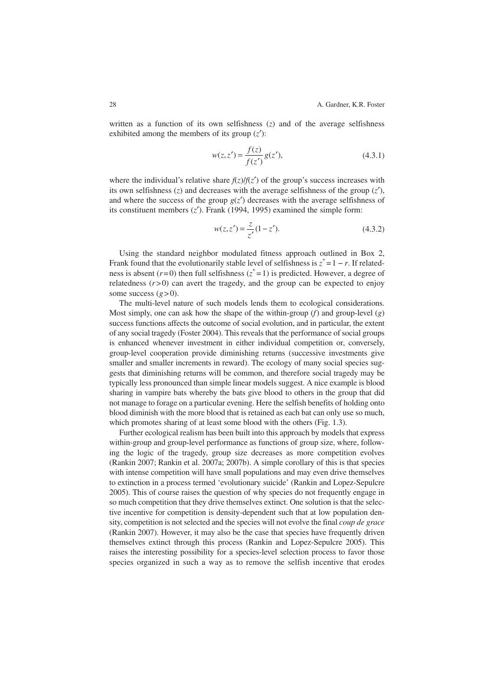written as a function of its own selfishness (*z*) and of the average selfishness exhibited among the members of its group (*z*′):

$$
w(z, z') = \frac{f(z)}{f(z')} g(z'),
$$
\n(4.3.1)

where the individual's relative share  $f(z)/f(z')$  of the group's success increases with its own selfishness (*z*) and decreases with the average selfishness of the group (*z*′), and where the success of the group  $g(z')$  decreases with the average selfishness of its constituent members (*z*′). Frank (1994, 1995) examined the simple form:

$$
w(z, z') = \frac{z}{z'}(1 - z').
$$
\n(4.3.2)

Using the standard neighbor modulated fitness approach outlined in Box 2, Frank found that the evolutionarily stable level of selfishness is  $z^* = 1 - r$ . If relatedness is absent  $(r=0)$  then full selfishness  $(z^*=1)$  is predicted. However, a degree of relatedness  $(r>0)$  can avert the tragedy, and the group can be expected to enjoy some success  $(g>0)$ .

The multi-level nature of such models lends them to ecological considerations. Most simply, one can ask how the shape of the within-group  $(f)$  and group-level  $(g)$ success functions affects the outcome of social evolution, and in particular, the extent of any social tragedy (Foster 2004). This reveals that the performance of social groups is enhanced whenever investment in either individual competition or, conversely, group-level cooperation provide diminishing returns (successive investments give smaller and smaller increments in reward). The ecology of many social species suggests that diminishing returns will be common, and therefore social tragedy may be typically less pronounced than simple linear models suggest. A nice example is blood sharing in vampire bats whereby the bats give blood to others in the group that did not manage to forage on a particular evening. Here the selfish benefits of holding onto blood diminish with the more blood that is retained as each bat can only use so much, which promotes sharing of at least some blood with the others (Fig. 1.3).

Further ecological realism has been built into this approach by models that express within-group and group-level performance as functions of group size, where, following the logic of the tragedy, group size decreases as more competition evolves (Rankin 2007; Rankin et al. 2007a; 2007b). A simple corollary of this is that species with intense competition will have small populations and may even drive themselves to extinction in a process termed 'evolutionary suicide' (Rankin and Lopez-Sepulcre 2005). This of course raises the question of why species do not frequently engage in so much competition that they drive themselves extinct. One solution is that the selective incentive for competition is density-dependent such that at low population density, competition is not selected and the species will not evolve the final *coup de grace* (Rankin 2007). However, it may also be the case that species have frequently driven themselves extinct through this process (Rankin and Lopez-Sepulcre 2005). This raises the interesting possibility for a species-level selection process to favor those species organized in such a way as to remove the selfish incentive that erodes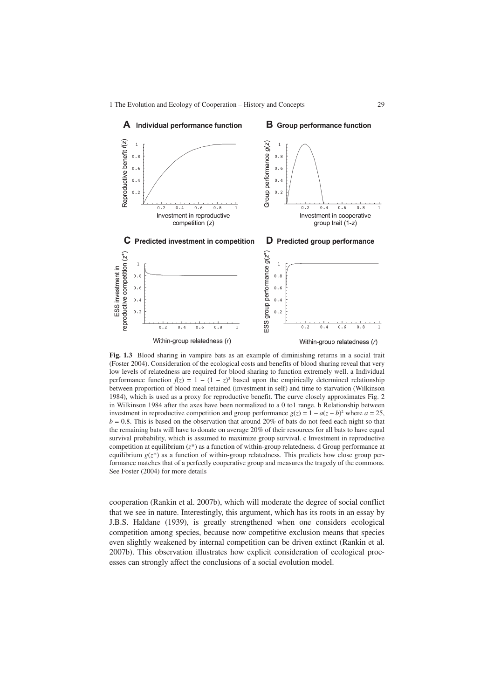1 The Evolution and Ecology of Cooperation – History and Concepts 29



**Fig. 1.3** Blood sharing in vampire bats as an example of diminishing returns in a social trait (Foster 2004). Consideration of the ecological costs and benefits of blood sharing reveal that very low levels of relatedness are required for blood sharing to function extremely well. a Individual performance function  $f(z) = 1 - (1 - z)^3$  based upon the empirically determined relationship between proportion of blood meal retained (investment in self) and time to starvation (Wilkinson 1984), which is used as a proxy for reproductive benefit. The curve closely approximates Fig. 2 in Wilkinson 1984 after the axes have been normalized to a 0 to1 range. b Relationship between investment in reproductive competition and group performance  $g(z) = 1 - a(z - b)^2$  where  $a = 25$ ,  $b = 0.8$ . This is based on the observation that around 20% of bats do not feed each night so that the remaining bats will have to donate on average 20% of their resources for all bats to have equal survival probability, which is assumed to maximize group survival. c Investment in reproductive competition at equilibrium  $(z^*)$  as a function of within-group relatedness. d Group performance at equilibrium  $g(z^*)$  as a function of within-group relatedness. This predicts how close group performance matches that of a perfectly cooperative group and measures the tragedy of the commons . See Foster (2004) for more details

cooperation (Rankin et al. 2007b), which will moderate the degree of social conflict that we see in nature. Interestingly, this argument, which has its roots in an essay by J.B.S. Haldane (1939), is greatly strengthened when one considers ecological competition among species, because now competitive exclusion means that species even slightly weakened by internal competition can be driven extinct (Rankin et al. 2007b). This observation illustrates how explicit consideration of ecological processes can strongly affect the conclusions of a social evolution model.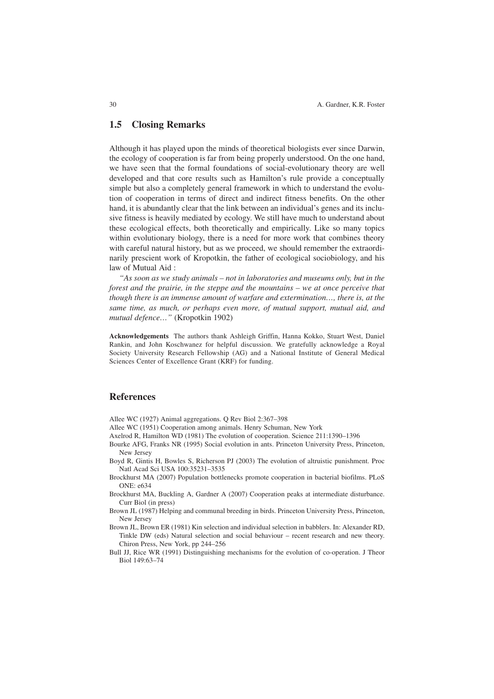30 A. Gardner, K.R. Foster

# **1.5 Closing Remarks**

Although it has played upon the minds of theoretical biologists ever since Darwin, the ecology of cooperation is far from being properly understood. On the one hand, we have seen that the formal foundations of social-evolutionary theory are well developed and that core results such as Hamilton's rule provide a conceptually simple but also a completely general framework in which to understand the evolution of cooperation in terms of direct and indirect fitness benefits. On the other hand, it is abundantly clear that the link between an individual's genes and its inclusive fitness is heavily mediated by ecology. We still have much to understand about these ecological effects, both theoretically and empirically. Like so many topics within evolutionary biology, there is a need for more work that combines theory with careful natural history, but as we proceed, we should remember the extraordinarily prescient work of Kropotkin, the father of ecological sociobiology, and his law of Mutual Aid :

*"As soon as we study animals – not in laboratories and museums only, but in the forest and the prairie, in the steppe and the mountains – we at once perceive that though there is an immense amount of warfare and extermination…, there is, at the same time, as much, or perhaps even more, of mutual support, mutual aid, and mutual defence…"* (Kropotkin 1902)

**Acknowledgements** The authors thank Ashleigh Griffin, Hanna Kokko, Stuart West, Daniel Rankin, and John Koschwanez for helpful discussion. We gratefully acknowledge a Royal Society University Research Fellowship (AG) and a National Institute of General Medical Sciences Center of Excellence Grant (KRF) for funding.

# **References**

Allee WC (1927) Animal aggregations. Q Rev Biol 2:367–398

- Allee WC (1951) Cooperation among animals. Henry Schuman, New York
- Axelrod R, Hamilton WD (1981) The evolution of cooperation. Science 211:1390–1396
- Bourke AFG, Franks NR (1995) Social evolution in ants. Princeton University Press, Princeton, New Jersey
- Boyd R, Gintis H, Bowles S, Richerson PJ (2003) The evolution of altruistic punishment. Proc Natl Acad Sci USA 100:35231–3535
- Brockhurst MA (2007) Population bottlenecks promote cooperation in bacterial biofilms. PLoS ONE: e634
- Brockhurst MA, Buckling A, Gardner A (2007) Cooperation peaks at intermediate disturbance. Curr Biol (in press)
- Brown JL (1987) Helping and communal breeding in birds. Princeton University Press, Princeton, New Jersey
- Brown JL, Brown ER (1981) Kin selection and individual selection in babblers. In: Alexander RD, Tinkle DW (eds) Natural selection and social behaviour – recent research and new theory. Chiron Press, New York, pp 244–256
- Bull JJ, Rice WR (1991) Distinguishing mechanisms for the evolution of co-operation. J Theor Biol 149:63–74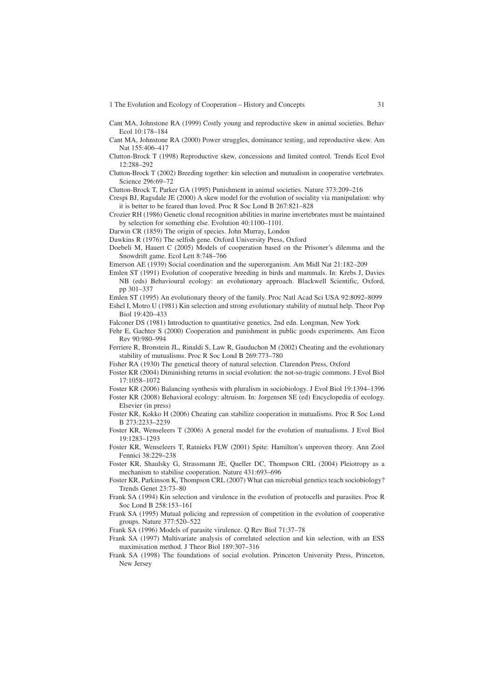1 The Evolution and Ecology of Cooperation – History and Concepts 31

- Cant MA, Johnstone RA (1999) Costly young and reproductive skew in animal societies. Behav Ecol 10:178–184
- Cant MA, Johnstone RA (2000) Power struggles, dominance testing, and reproductive skew. Am Nat 155:406–417
- Clutton-Brock T (1998) Reproductive skew, concessions and limited control. Trends Ecol Evol 12:288–292
- Clutton-Brock T (2002) Breeding together: kin selection and mutualism in cooperative vertebrates. Science 296:69–72

Clutton-Brock T, Parker GA (1995) Punishment in animal societies. Nature 373:209–216

- Crespi BJ, Ragsdale JE (2000) A skew model for the evolution of sociality via manipulation: why it is better to be feared than loved. Proc R Soc Lond B 267:821–828
- Crozier RH (1986) Genetic clonal recognition abilities in marine invertebrates must be maintained by selection for something else. Evolution 40:1100–1101.
- Darwin CR (1859) The origin of species. John Murray, London
- Dawkins R (1976) The selfish gene. Oxford University Press, Oxford
- Doebeli M, Hauert C (2005) Models of cooperation based on the Prisoner's dilemma and the Snowdrift game. Ecol Lett 8:748–766
- Emerson AE (1939) Social coordination and the superorganism. Am Midl Nat 21:182–209
- Emlen ST (1991) Evolution of cooperative breeding in birds and mammals. In: Krebs J, Davies NB (eds) Behavioural ecology: an evolutionary approach. Blackwell Scientific, Oxford, pp 301–337
- Emlen ST (1995) An evolutionary theory of the family. Proc Natl Acad Sci USA 92:8092–8099 Eshel I, Motro U (1981) Kin selection and strong evolutionary stability of mutual help. Theor Pop
- Biol 19:420–433
- Falconer DS (1981) Introduction to quantitative genetics, 2nd edn. Longman, New York
- Fehr E, Gachter S (2000) Cooperation and punishment in public goods experiments. Am Econ Rev 90:980–994
- Ferriere R, Bronstein JL, Rinaldi S, Law R, Gauduchon M (2002) Cheating and the evolutionary stability of mutualisms. Proc R Soc Lond B 269:773–780
- Fisher RA (1930) The genetical theory of natural selection. Clarendon Press, Oxford
- Foster KR (2004) Diminishing returns in social evolution: the not-so-tragic commons. J Evol Biol 17:1058–1072
- Foster KR (2006) Balancing synthesis with pluralism in sociobiology. J Evol Biol 19:1394–1396 Foster KR (2008) Behavioral ecology: altruism. In: Jorgensen SE (ed) Encyclopedia of ecology.
- Elsevier (in press) Foster KR, Kokko H (2006) Cheating can stabilize cooperation in mutualisms. Proc R Soc Lond
- B 273:2233–2239
- Foster KR, Wenseleers T (2006) A general model for the evolution of mutualisms. J Evol Biol 19:1283–1293
- Foster KR, Wenseleers T, Ratnieks FLW (2001) Spite: Hamilton's unproven theory. Ann Zool Fennici 38:229–238
- Foster KR, Shaulsky G, Strassmann JE, Queller DC, Thompson CRL (2004) Pleiotropy as a mechanism to stabilise cooperation. Nature 431:693–696
- Foster KR, Parkinson K, Thompson CRL (2007) What can microbial genetics teach sociobiology? Trends Genet 23:73–80
- Frank SA (1994) Kin selection and virulence in the evolution of protocells and parasites. Proc R Soc Lond B 258:153–161
- Frank SA (1995) Mutual policing and repression of competition in the evolution of cooperative groups. Nature 377:520–522
- Frank SA (1996) Models of parasite virulence. Q Rev Biol 71:37–78
- Frank SA (1997) Multivariate analysis of correlated selection and kin selection, with an ESS maximisation method. J Theor Biol 189:307–316
- Frank SA (1998) The foundations of social evolution. Princeton University Press, Princeton, New Jersey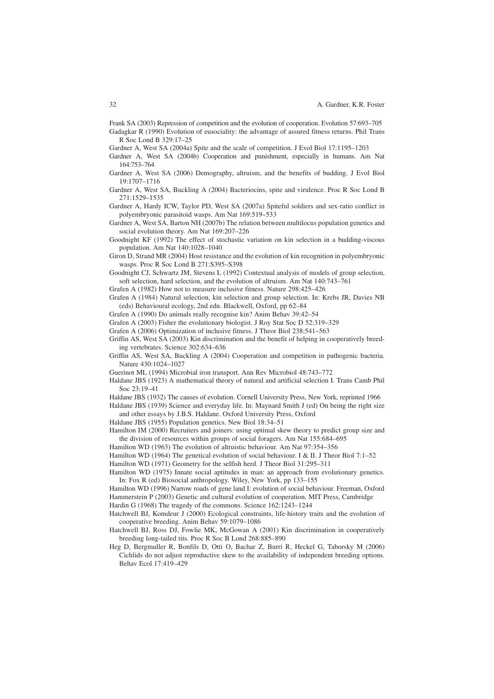Frank SA (2003) Repression of competition and the evolution of cooperation. Evolution 57:693–705 Gadagkar R (1990) Evolution of eusociality: the advantage of assured fitness returns. Phil Trans

R Soc Lond B 329:17–25

- Gardner A, West SA (2004a) Spite and the scale of competition. J Evol Biol 17:1195–1203
- Gardner A, West SA (2004b) Cooperation and punishment, especially in humans. Am Nat 164:753–764
- Gardner A, West SA (2006) Demography, altruism, and the benefits of budding. J Evol Biol 19:1707–1716
- Gardner A, West SA, Buckling A (2004) Bacteriocins, spite and virulence. Proc R Soc Lond B 271:1529–1535
- Gardner A, Hardy ICW, Taylor PD, West SA (2007a) Spiteful soldiers and sex-ratio conflict in polyembryonic parasitoid wasps. Am Nat 169:519–533
- Gardner A, West SA, Barton NH (2007b) The relation between multilocus population genetics and social evolution theory. Am Nat 169:207–226
- Goodnight KF (1992) The effect of stochastic variation on kin selection in a budding-viscous population. Am Nat 140:1028–1040
- Giron D, Strand MR (2004) Host resistance and the evolution of kin recognition in polyembryonic wasps. Proc R Soc Lond B 271:S395–S398
- Goodnight CJ, Schwartz JM, Stevens L (1992) Contextual analysis of models of group selection, soft selection, hard selection, and the evolution of altruism. Am Nat 140:743–761
- Grafen A (1982) How not to measure inclusive fitness. Nature 298:425–426
- Grafen A (1984) Natural selection, kin selection and group selection. In: Krebs JR, Davies NB (eds) Behavioural ecology, 2nd edn. Blackwell, Oxford, pp 62–84
- Grafen A (1990) Do animals really recognise kin? Anim Behav 39:42–54
- Grafen A (2003) Fisher the evolutionary biologist. J Roy Stat Soc D 52:319–329
- Grafen A (2006) Optimization of inclusive fitness. J Theor Biol 238:541–563
- Griffin AS, West SA (2003) Kin discrimination and the benefit of helping in cooperatively breeding vertebrates. Science 302:634–636
- Griffin AS, West SA, Buckling A (2004) Cooperation and competition in pathogenic bacteria. Nature 430:1024–1027
- Guerinot ML (1994) Microbial iron transport. Ann Rev Microbiol 48:743–772
- Haldane JBS (1923) A mathematical theory of natural and artificial selection I. Trans Camb Phil Soc 23:19–41

Haldane JBS (1932) The causes of evolution. Cornell University Press, New York, reprinted 1966

- Haldane JBS (1939) Science and everyday life. In: Maynard Smith J (ed) On being the right size
- and other essays by J.B.S. Haldane. Oxford University Press, Oxford
- Haldane JBS (1955) Population genetics. New Biol 18:34–51
- Hamilton IM (2000) Recruiters and joiners: using optimal skew theory to predict group size and the division of resources within groups of social foragers. Am Nat 155:684–695
- Hamilton WD (1963) The evolution of altruistic behaviour. Am Nat 97:354–356
- Hamilton WD (1964) The genetical evolution of social behaviour. I & II. J Theor Biol 7:1–52
- Hamilton WD (1971) Geometry for the selfish herd. J Theor Biol 31:295–311 Hamilton WD (1975) Innate social aptitudes in man: an approach from evolutionary genetics.
- In: Fox R (ed) Biosocial anthropology. Wiley, New York, pp 133–155
- Hamilton WD (1996) Narrow roads of gene land I: evolution of social behaviour. Freeman, Oxford Hammerstein P (2003) Genetic and cultural evolution of cooperation. MIT Press, Cambridge Hardin G (1968) The tragedy of the commons. Science 162:1243–1244

- Hatchwell BJ, Komdeur J (2000) Ecological constraints, life-history traits and the evolution of cooperative breeding. Anim Behav 59:1079–1086
- Hatchwell BJ, Ross DJ, Fowlie MK, McGowan A (2001) Kin discrimination in cooperatively breeding long-tailed tits. Proc R Soc B Lond 268:885–890
- Heg D, Bergmuller R, Bonfils D, Otti O, Bachar Z, Burri R, Heckel G, Taborsky M (2006) Cichlids do not adjust reproductive skew to the availability of independent breeding options. Behav Ecol 17:419–429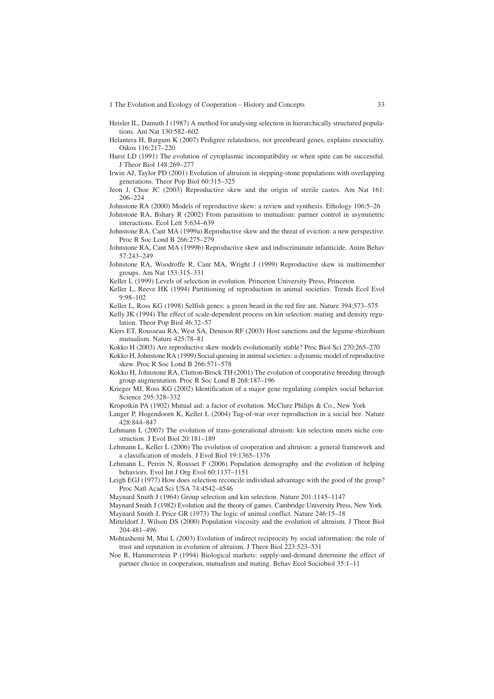1 The Evolution and Ecology of Cooperation – History and Concepts 33

- Heisler IL, Damuth J (1987) A method for analysing selection in hierarchically structured populations. Am Nat 130:582–602
- Helantera H, Bargum K (2007) Pedigree relatedness, not greenbeard genes, explains eusociality. Oikos 116:217–220
- Hurst LD (1991) The evolution of cytoplasmic incompatibility or when spite can be successful. J Theor Biol 148:269–277
- Irwin AJ, Taylor PD (2001) Evolution of altruism in stepping-stone populations with overlapping generations. Theor Pop Biol 60:315–325
- Jeon J, Choe JC (2003) Reproductive skew and the origin of sterile castes. Am Nat 161: 206–224
- Johnstone RA (2000) Models of reproductive skew: a review and synthesis. Ethology 106:5–26
- Johnstone RA, Bshary R (2002) From parasitism to mutualism: partner control in asymmetric interactions. Ecol Lett 5:634–639
- Johnstone RA, Cant MA (1999a) Reproductive skew and the threat of eviction: a new perspective. Proc R Soc Lond B 266:275–279
- Johnstone RA, Cant MA (1999b) Reproductive skew and indiscriminate infanticide. Anim Behav 57:243–249
- Johnstone RA, Woodroffe R, Cant MA, Wright J (1999) Reproductive skew in multimember groups. Am Nat 153:315–331
- Keller L (1999) Levels of selection in evolution. Princeton University Press, Princeton
- Keller L, Reeve HK (1994) Partitioning of reproduction in animal societies. Trends Ecol Evol 9:98–102
- Keller L, Ross KG (1998) Selfish genes: a green beard in the red fire ant. Nature 394:573–575
- Kelly JK (1994) The effect of scale-dependent process on kin selection: mating and density regulation. Theor Pop Biol 46:32–57
- Kiers ET, Rousseau RA, West SA, Denison RF (2003) Host sanctions and the legume-rhizobium mutualism. Nature 425:78–81
- Kokko H (2003) Are reproductive skew models evolutionarily stable? Proc Biol Sci 270:265–270
- Kokko H, Johnstone RA (1999) Social queuing in animal societies: a dynamic model of reproductive skew. Proc R Soc Lond B 266:571–578
- Kokko H, Johnstone RA, Clutton-Brock TH (2001) The evolution of cooperative breeding through group augmentation. Proc R Soc Lond B 268:187–196
- Krieger MJ, Ross KG (2002) Identification of a major gene regulating complex social behavior. Science 295:328–332
- Kropotkin PA (1902) Mutual aid: a factor of evolution. McClure Philips & Co., New York
- Langer P, Hogendoorn K, Keller L (2004) Tug-of-war over reproduction in a social bee. Nature 428:844–847
- Lehmann L (2007) The evolution of trans-generational altruism: kin selection meets niche construction. J Evol Biol 20:181–189
- Lehmann L, Keller L (2006) The evolution of cooperation and altruism: a general framework and a classification of models. J Evol Biol 19:1365–1376
- Lehmann L, Perrin N, Rousset F (2006) Population demography and the evolution of helping behaviors. Evol Int J Org Evol 60:1137–1151
- Leigh EGJ (1977) How does selection reconcile individual advantage with the good of the group? Proc Natl Acad Sci USA 74:4542–4546
- Maynard Smith J (1964) Group selection and kin selection. Nature 201:1145–1147
- Maynard Smith J (1982) Evolution and the theory of games. Cambridge University Press, New York Maynard Smith J, Price GR (1973) The logic of animal conflict. Nature 246:15–18
- Mitteldorf J, Wilson DS (2000) Population viscosity and the evolution of altruism. J Theor Biol 204:481–496
- Mohtashemi M, Mui L (2003) Evolution of indirect reciprocity by social information: the role of trust and reputation in evolution of altruism. J Theor Biol 223:523–531
- Noe R, Hammerstein P (1994) Biological markets: supply-and-demand determine the effect of partner choice in cooperation, mutualism and mating. Behav Ecol Sociobiol 35:1–11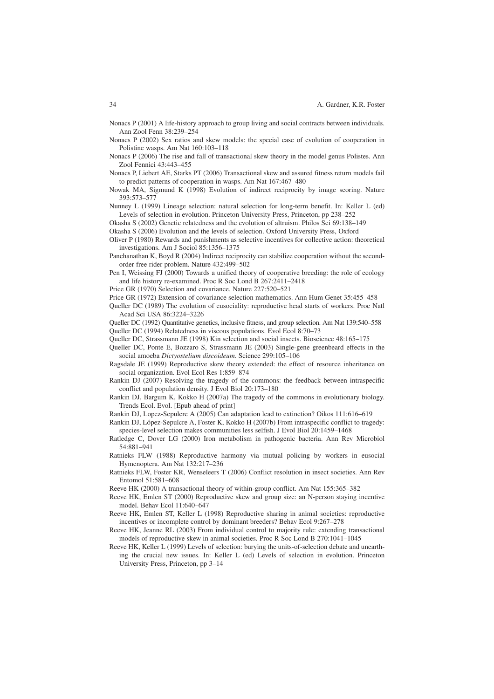- Nonacs P (2001) A life-history approach to group living and social contracts between individuals. Ann Zool Fenn 38:239–254
- Nonacs P (2002) Sex ratios and skew models: the special case of evolution of cooperation in Polistine wasps. Am Nat 160:103–118
- Nonacs P (2006) The rise and fall of transactional skew theory in the model genus Polistes. Ann Zool Fennici 43:443–455
- Nonacs P, Liebert AE, Starks PT (2006) Transactional skew and assured fitness return models fail to predict patterns of cooperation in wasps. Am Nat 167:467–480
- Nowak MA, Sigmund K (1998) Evolution of indirect reciprocity by image scoring. Nature 393:573–577
- Nunney L (1999) Lineage selection: natural selection for long-term benefit. In: Keller L (ed) Levels of selection in evolution. Princeton University Press, Princeton, pp 238–252
- Okasha S (2002) Genetic relatedness and the evolution of altruism. Philos Sci 69:138–149
- Okasha S (2006) Evolution and the levels of selection. Oxford University Press, Oxford
- Oliver P (1980) Rewards and punishments as selective incentives for collective action: theoretical investigations. Am J Sociol 85:1356–1375
- Panchanathan K, Boyd R (2004) Indirect reciprocity can stabilize cooperation without the secondorder free rider problem. Nature 432:499–502
- Pen I, Weissing FJ (2000) Towards a unified theory of cooperative breeding: the role of ecology and life history re-examined. Proc R Soc Lond B 267:2411–2418
- Price GR (1970) Selection and covariance. Nature 227:520–521
- Price GR (1972) Extension of covariance selection mathematics. Ann Hum Genet 35:455–458
- Queller DC (1989) The evolution of eusociality: reproductive head starts of workers. Proc Natl Acad Sci USA 86:3224–3226
- Queller DC (1992) Quantitative genetics, inclusive fitness, and group selection. Am Nat 139:540–558 Queller DC (1994) Relatedness in viscous populations. Evol Ecol 8:70–73
- Queller DC, Strassmann JE (1998) Kin selection and social insects. Bioscience 48:165–175
- Queller DC, Ponte E, Bozzaro S, Strassmann JE (2003) Single-gene greenbeard effects in the social amoeba *Dictyostelium discoideum*. Science 299:105–106
- Ragsdale JE (1999) Reproductive skew theory extended: the effect of resource inheritance on social organization. Evol Ecol Res 1:859–874
- Rankin DJ (2007) Resolving the tragedy of the commons: the feedback between intraspecific conflict and population density. J Evol Biol 20:173–180
- Rankin DJ, Bargum K, Kokko H (2007a) The tragedy of the commons in evolutionary biology. Trends Ecol. Evol. [Epub ahead of print]

Rankin DJ, Lopez-Sepulcre A (2005) Can adaptation lead to extinction? Oikos 111:616–619

- Rankin DJ, López-Sepulcre A, Foster K, Kokko H (2007b) From intraspecific conflict to tragedy: species-level selection makes communities less selfish. J Evol Biol 20:1459–1468
- Ratledge C, Dover LG (2000) Iron metabolism in pathogenic bacteria. Ann Rev Microbiol 54:881–941
- Ratnieks FLW (1988) Reproductive harmony via mutual policing by workers in eusocial Hymenoptera. Am Nat 132:217–236
- Ratnieks FLW, Foster KR, Wenseleers T (2006) Conflict resolution in insect societies. Ann Rev Entomol 51:581–608
- Reeve HK (2000) A transactional theory of within-group conflict. Am Nat 155:365–382
- Reeve HK, Emlen ST (2000) Reproductive skew and group size: an N-person staying incentive model. Behav Ecol 11:640–647
- Reeve HK, Emlen ST, Keller L (1998) Reproductive sharing in animal societies: reproductive incentives or incomplete control by dominant breeders? Behav Ecol 9:267–278
- Reeve HK, Jeanne RL (2003) From individual control to majority rule: extending transactional models of reproductive skew in animal societies. Proc R Soc Lond B 270:1041–1045
- Reeve HK, Keller L (1999) Levels of selection: burying the units-of-selection debate and unearthing the crucial new issues. In: Keller L (ed) Levels of selection in evolution. Princeton University Press, Princeton, pp 3–14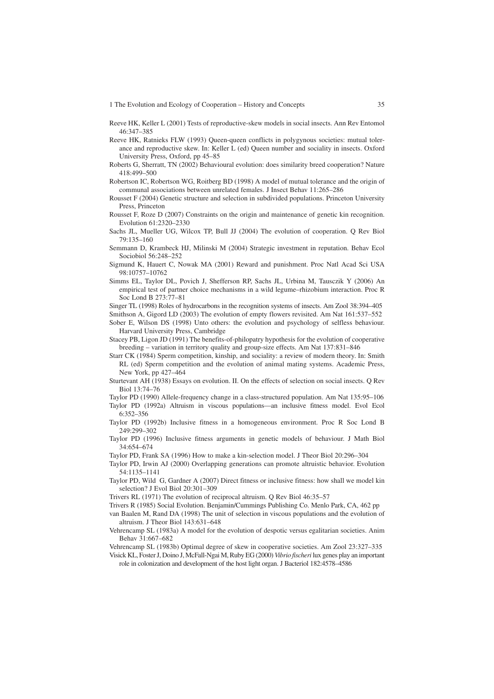1 The Evolution and Ecology of Cooperation – History and Concepts 35

- Reeve HK, Keller L (2001) Tests of reproductive-skew models in social insects. Ann Rev Entomol 46:347–385
- Reeve HK, Ratnieks FLW (1993) Queen-queen conflicts in polygynous societies: mutual tolerance and reproductive skew. In: Keller L (ed) Queen number and sociality in insects. Oxford University Press, Oxford, pp 45–85
- Roberts G, Sherratt, TN (2002) Behavioural evolution: does similarity breed cooperation? Nature 418:499–500
- Robertson IC, Robertson WG, Roitberg BD (1998) A model of mutual tolerance and the origin of communal associations between unrelated females. J Insect Behav 11:265–286
- Rousset F (2004) Genetic structure and selection in subdivided populations. Princeton University Press, Princeton
- Rousset F, Roze D (2007) Constraints on the origin and maintenance of genetic kin recognition. Evolution 61:2320–2330
- Sachs JL, Mueller UG, Wilcox TP, Bull JJ (2004) The evolution of cooperation. Q Rev Biol 79:135–160
- Semmann D, Krambeck HJ, Milinski M (2004) Strategic investment in reputation. Behav Ecol Sociobiol 56:248–252
- Sigmund K, Hauert C, Nowak MA (2001) Reward and punishment. Proc Natl Acad Sci USA 98:10757–10762
- Simms EL, Taylor DL, Povich J, Shefferson RP, Sachs JL, Urbina M, Tausczik Y (2006) An empirical test of partner choice mechanisms in a wild legume–rhizobium interaction. Proc R Soc Lond B 273:77–81
- Singer TL (1998) Roles of hydrocarbons in the recognition systems of insects. Am Zool 38:394–405
- Smithson A, Gigord LD (2003) The evolution of empty flowers revisited. Am Nat 161:537–552
- Sober E, Wilson DS (1998) Unto others: the evolution and psychology of selfless behaviour. Harvard University Press, Cambridge
- Stacey PB, Ligon JD (1991) The benefits-of-philopatry hypothesis for the evolution of cooperative breeding – variation in territory quality and group-size effects. Am Nat 137:831–846
- Starr CK (1984) Sperm competition, kinship, and sociality: a review of modern theory. In: Smith RL (ed) Sperm competition and the evolution of animal mating systems. Academic Press, New York, pp 427–464
- Sturtevant AH (1938) Essays on evolution. II. On the effects of selection on social insects. Q Rev Biol 13:74–76
- Taylor PD (1990) Allele-frequency change in a class-structured population. Am Nat 135:95–106
- Taylor PD (1992a) Altruism in viscous populations—an inclusive fitness model. Evol Ecol 6:352–356
- Taylor PD (1992b) Inclusive fitness in a homogeneous environment. Proc R Soc Lond B 249:299–302
- Taylor PD (1996) Inclusive fitness arguments in genetic models of behaviour. J Math Biol 34:654–674
- Taylor PD, Frank SA (1996) How to make a kin-selection model. J Theor Biol 20:296–304
- Taylor PD, Irwin AJ (2000) Overlapping generations can promote altruistic behavior. Evolution 54:1135–1141
- Taylor PD, Wild G, Gardner A (2007) Direct fitness or inclusive fitness: how shall we model kin selection? J Evol Biol 20:301–309
- Trivers RL (1971) The evolution of reciprocal altruism. Q Rev Biol 46:35–57
- Trivers R (1985) Social Evolution. Benjamin/Cummings Publishing Co. Menlo Park, CA, 462 pp
- van Baalen M, Rand DA (1998) The unit of selection in viscous populations and the evolution of altruism. J Theor Biol 143:631–648
- Vehrencamp SL (1983a) A model for the evolution of despotic versus egalitarian societies. Anim Behav 31:667–682
- Vehrencamp SL (1983b) Optimal degree of skew in cooperative societies. Am Zool 23:327–335
- Visick KL, Foster J, Doino J, McFall-Ngai M, Ruby EG (2000) *Vibrio fischeri* lux genes play an important role in colonization and development of the host light organ. J Bacteriol 182:4578–4586